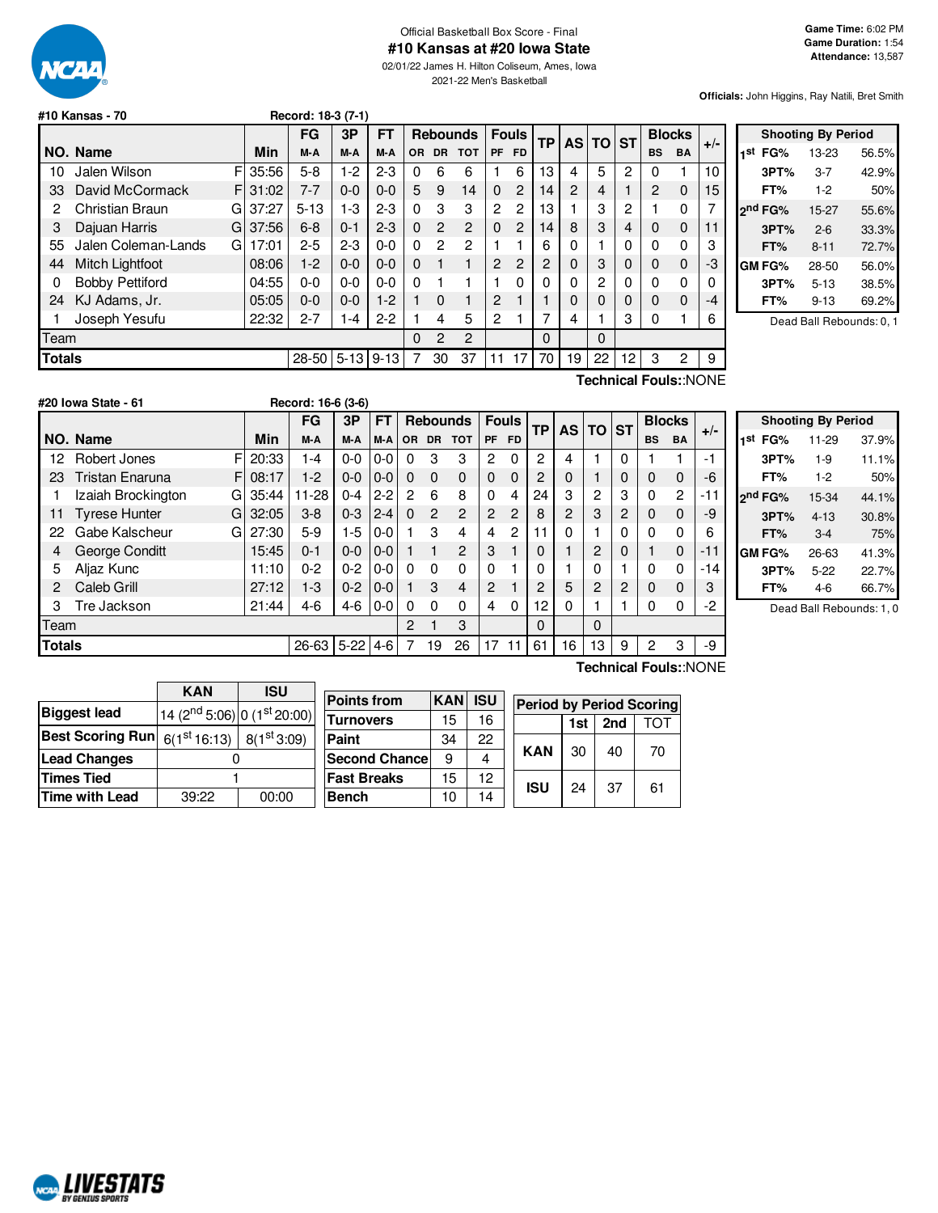

## Official Basketball Box Score - Final

**#10 Kansas at #20 Iowa State**

02/01/22 James H. Hilton Coliseum, Ames, Iowa 2021-22 Men's Basketball

**Officials:** John Higgins, Ray Natili, Bret Smith

|                        |       |                                                  |                | Record: 18-3 (7-1) |          |                |                 |                |                |           |                |    |           |                   |               |       |
|------------------------|-------|--------------------------------------------------|----------------|--------------------|----------|----------------|-----------------|----------------|----------------|-----------|----------------|----|-----------|-------------------|---------------|-------|
|                        |       | FG                                               | 3P             | FT                 |          |                | <b>Rebounds</b> |                | <b>Fouls</b>   | <b>TP</b> |                |    |           |                   | <b>Blocks</b> | $+/-$ |
| NO. Name               | Min   | M-A                                              | M-A            | M-A                | 0R       | <b>DR</b>      | <b>TOT</b>      | <b>PF</b>      | <b>FD</b>      |           |                |    |           | <b>BS</b>         | <b>BA</b>     |       |
| Jalen Wilson           |       | $5-8$                                            | $1-2$          | $2 - 3$            | 0        | 6              | 6               |                | 6              | 13        | 4              | 5  | 2         | 0                 |               | 10    |
| David McCormack        |       | $7 - 7$                                          | $0 - 0$        | $0 - 0$            | 5        | 9              | 14              | $\Omega$       | $\overline{2}$ | 14        | $\overline{2}$ | 4  | 1         | $\overline{2}$    | $\mathbf 0$   | 15    |
| Christian Braun        | 37:27 | $5 - 13$                                         | 1-3            | $2 - 3$            | $\Omega$ | 3              | 3               | 2              | 2              | 13        |                | 3  | 2         |                   | 0             | 7     |
| Dajuan Harris          |       | $6 - 8$                                          | $0 - 1$        | $2 - 3$            | $\Omega$ | $\overline{2}$ | 2               | $\Omega$       | 2              | 14        | 8              | 3  | 4         | 0                 | $\mathbf 0$   | 11    |
| Jalen Coleman-Lands    | 17:01 | $2 - 5$                                          | $2 - 3$        | $0 - 0$            | $\Omega$ | 2              | 2               |                |                | 6         | 0              |    | 0         | $\Omega$          | $\mathbf{0}$  | 3     |
| Mitch Lightfoot        |       | $1-2$                                            | $0 - 0$        | $0 - 0$            | $\Omega$ |                |                 | 2              | 2              | 2         | 0              | 3  | 0         | 0                 | $\mathbf 0$   | -3    |
| <b>Bobby Pettiford</b> | 04:55 | $0 - 0$                                          | $0-0$          | $0 - 0$            | $\Omega$ |                |                 | 1              | $\Omega$       | 0         | 0              | 2  | 0         | $\Omega$          | $\Omega$      | 0     |
| KJ Adams, Jr.          |       | $0 - 0$                                          | $0 - 0$        | $1-2$              |          | $\Omega$       |                 | 2              |                |           | $\Omega$       | 0  | 0         | 0                 | $\mathbf 0$   | $-4$  |
| Joseph Yesufu          | 22:32 | $2 - 7$                                          | $1 - 4$        | $2 - 2$            |          | 4              | 5               | $\overline{2}$ |                | 7         | 4              |    | 3         | 0                 |               | 6     |
| Team                   |       |                                                  |                |                    | 0        | $\mathcal{P}$  | $\overline{c}$  |                |                | 0         |                | 0  |           |                   |               |       |
| <b>Totals</b>          |       |                                                  |                | $9 - 13$           | 7        | 30             | 37              | 11             | 17             | 70        | 19             | 22 | 12        | 3                 | 2             | 9     |
|                        |       | F<br>35:56<br>F<br>31:02<br>G<br>G<br>G<br>05:05 | 37:56<br>08:06 | 28-50              | $5 - 13$ |                |                 |                |                |           |                |    | <b>AS</b> | <b>TO ST</b><br>- |               |       |

| <b>Shooting By Period</b> |                     |           |       |  |  |  |  |  |  |
|---------------------------|---------------------|-----------|-------|--|--|--|--|--|--|
| 1st                       | FG%                 | 13-23     | 56.5% |  |  |  |  |  |  |
|                           | 3PT%                | 3-7       | 42.9% |  |  |  |  |  |  |
|                           | FT%                 | $1-2$     | 50%   |  |  |  |  |  |  |
|                           | 2 <sup>nd</sup> FG% | $15 - 27$ | 55.6% |  |  |  |  |  |  |
|                           | 3PT%                | $2 - 6$   | 33.3% |  |  |  |  |  |  |
|                           | FT%                 | $8 - 11$  | 72.7% |  |  |  |  |  |  |
|                           | <b>GM FG%</b>       | 28-50     | 56.0% |  |  |  |  |  |  |
|                           | 3PT%                | $5 - 13$  | 38.5% |  |  |  |  |  |  |
|                           | FT%                 | 9-13      | 69.2% |  |  |  |  |  |  |
|                           |                     |           |       |  |  |  |  |  |  |

Dead Ball Rebounds: 0, 1

**#20 Iowa State - 61 Record: 16-6 (3-6)**

**Technical Fouls:**:NONE

|               | 720 IVIIU VIUIV      |   |            |           |          |         |           |                 |                |                |                |                   |          |                |                |                |             |       |
|---------------|----------------------|---|------------|-----------|----------|---------|-----------|-----------------|----------------|----------------|----------------|-------------------|----------|----------------|----------------|----------------|-------------|-------|
|               |                      |   |            | <b>FG</b> | 3P       | FT      |           | <b>Rebounds</b> |                |                | <b>Fouls</b>   | <b>TP</b>         |          | AS TO ST       |                | <b>Blocks</b>  |             | $+/-$ |
|               | NO. Name             |   | <b>Min</b> | M-A       | M-A      | M-A     | <b>OR</b> | DR.             | <b>TOT</b>     | <b>PF</b>      | <b>FD</b>      |                   |          |                |                | <b>BS</b>      | <b>BA</b>   |       |
| 12            | Robert Jones         | F | 20:33      | 1-4       | $0-0$    | $0-0$   | 0         | 3               | 3              | 2              | $\Omega$       | 2                 | 4        |                | $\Omega$       |                |             | $-1$  |
| 23            | Tristan Enaruna      | F | 08:17      | $1-2$     | $0 - 0$  | $0-0$   | $\Omega$  | $\Omega$        | $\Omega$       | $\Omega$       | $\Omega$       | 2                 | $\Omega$ |                | $\mathbf 0$    | 0              | $\mathbf 0$ | -6    |
|               | Izaiah Brockington   | G | 35:44      | $11 - 28$ | $0 - 4$  | $2 - 2$ | 2         | 6               | 8              | $\Omega$       | 4              | 24                | 3        | $\mathbf{2}$   | 3              | $\Omega$       | 2           | $-11$ |
| 11            | <b>Tyrese Hunter</b> | G | 32:05      | $3-8$     | $0 - 3$  | $2 - 4$ | $\Omega$  | $\overline{2}$  | $\overline{2}$ | $\overline{c}$ | $\overline{c}$ | 8                 | 2        | 3              | $\overline{c}$ | $\Omega$       | $\Omega$    | -9    |
| 22            | Gabe Kalscheur       | G | 27:30      | $5-9$     | $1-5$    | $0-0$   |           | 3               | 4              | 4              | 2              | 1<br>1            | 0        |                | 0              | 0              | 0           | 6     |
| 4             | George Conditt       |   | 15:45      | $0 - 1$   | $0 - 0$  | $0-0$   |           |                 | 2              | 3              |                | 0                 |          | $\overline{2}$ | $\Omega$       |                | 0           | $-11$ |
| 5             | Aljaz Kunc           |   | 11:10      | $0 - 2$   | $0 - 2$  | $0-0$   | $\Omega$  | $\Omega$        | $\Omega$       | 0              |                | 0                 |          | $\Omega$       |                | $\Omega$       | $\Omega$    | $-14$ |
|               | Caleb Grill          |   | 27:12      | $1-3$     | $0 - 2$  | $0-0$   |           | 3               | 4              | $\mathbf{2}$   |                | $\mathcal{P}$     | 5        | $\mathbf{2}$   | 2              | 0              | 0           | 3     |
| З             | Tre Jackson          |   | 21:44      | $4-6$     | $4 - 6$  | $0-0$   | $\Omega$  | $\Omega$        | $\Omega$       | 4              | 0              | $12 \overline{ }$ | 0        |                |                | 0              | 0           | -2    |
| Team          |                      |   |            |           |          |         | 2         |                 | 3              |                |                | 0                 |          | $\mathbf{0}$   |                |                |             |       |
| <b>Totals</b> |                      |   |            | 26-63     | $5 - 22$ | $4-6$   |           | 19              | 26             | 17             | 11             | 61                | 16       | 13             | 9              | $\overline{2}$ | 3           | -9    |

|     |                     | <b>Shooting By Period</b> |       |
|-----|---------------------|---------------------------|-------|
| 1st | FG%                 | 11-29                     | 37.9% |
|     | 3PT%                | $1-9$                     | 11.1% |
|     | FT%                 | $1-2$                     | 50%   |
|     | 2 <sup>nd</sup> FG% | 15-34                     | 44.1% |
|     | 3PT%                | $4 - 13$                  | 30.8% |
|     | FT%                 | $3-4$                     | 75%   |
|     | GM FG%              | 26-63                     | 41.3% |
|     | 3PT%                | $5-22$                    | 22.7% |
|     | FT%                 | $4-6$                     | 66.7% |

Dead Ball Rebounds: 1, 0

|                                                                    | <b>KAN</b>                  | <b>ISU</b>       |                      |            |            |                                 |     |     |     |  |
|--------------------------------------------------------------------|-----------------------------|------------------|----------------------|------------|------------|---------------------------------|-----|-----|-----|--|
|                                                                    |                             |                  | <b>Points from</b>   | <b>KAN</b> | <b>ISU</b> | <b>Period by Period Scoring</b> |     |     |     |  |
| <b>Biggest lead</b>                                                | $14(2nd 5:06) 0(1st 20:00)$ | <b>Turnovers</b> |                      | 15         | 16         |                                 | 1st | 2nd | TOT |  |
| Best Scoring Run $\mid$ $_{6(1^{st}16:13)}\mid$ $_{8(1^{st}3:09)}$ |                             |                  | Paint                | 34         | 22         |                                 |     |     |     |  |
| <b>Lead Changes</b>                                                |                             |                  | <b>Second Chance</b> | 9          | 4          | <b>KAN</b>                      | 30  | 40  | 70  |  |
| Times Tied                                                         |                             |                  | <b>Fast Breaks</b>   | 15         | 12         | <b>ISU</b>                      | 24  | 37  |     |  |
| Time with Lead                                                     | 39:22                       | 00:00            | Bench                | 10         | 14         |                                 |     |     | 61  |  |
|                                                                    |                             |                  |                      |            |            |                                 |     |     |     |  |

#### **Technical Fouls:**:NONE

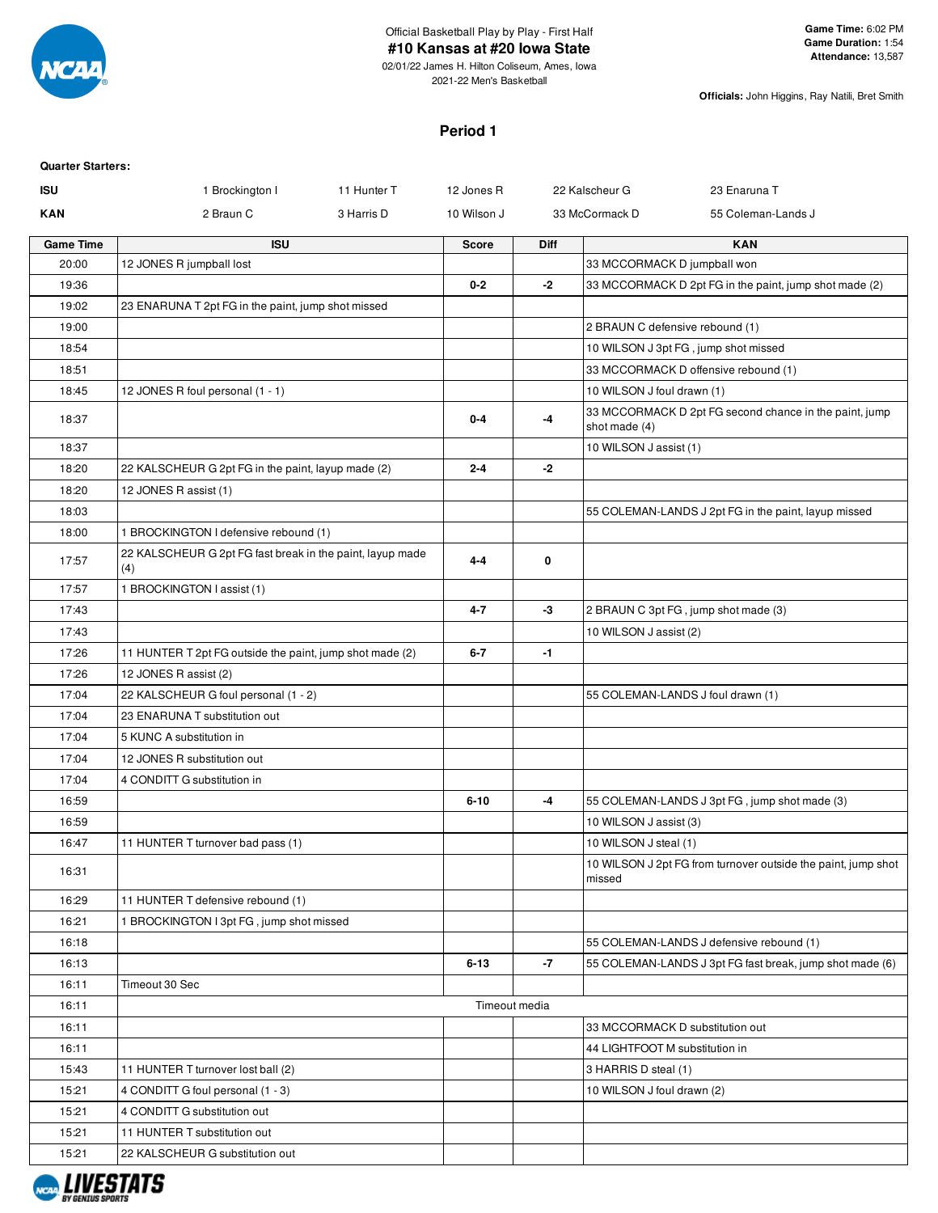

## Official Basketball Play by Play - First Half

**#10 Kansas at #20 Iowa State**

02/01/22 James H. Hilton Coliseum, Ames, Iowa 2021-22 Men's Basketball

**Officials:** John Higgins, Ray Natili, Bret Smith

#### **Period 1**

| <b>Quarter Starters:</b> |                                                                  |             |              |               |                                 |                                                               |
|--------------------------|------------------------------------------------------------------|-------------|--------------|---------------|---------------------------------|---------------------------------------------------------------|
| <b>ISU</b>               | 1 Brockington I                                                  | 11 Hunter T | 12 Jones R   |               | 22 Kalscheur G                  | 23 Enaruna T                                                  |
| <b>KAN</b>               | 2 Braun C                                                        | 3 Harris D  | 10 Wilson J  |               | 33 McCormack D                  | 55 Coleman-Lands J                                            |
| <b>Game Time</b>         | <b>ISU</b>                                                       |             | <b>Score</b> | <b>Diff</b>   |                                 | <b>KAN</b>                                                    |
| 20:00                    | 12 JONES R jumpball lost                                         |             |              |               | 33 MCCORMACK D jumpball won     |                                                               |
| 19:36                    |                                                                  |             | $0 - 2$      | $-2$          |                                 | 33 MCCORMACK D 2pt FG in the paint, jump shot made (2)        |
| 19:02                    | 23 ENARUNA T 2pt FG in the paint, jump shot missed               |             |              |               |                                 |                                                               |
| 19:00                    |                                                                  |             |              |               | 2 BRAUN C defensive rebound (1) |                                                               |
| 18:54                    |                                                                  |             |              |               |                                 | 10 WILSON J 3pt FG, jump shot missed                          |
| 18:51                    |                                                                  |             |              |               |                                 | 33 MCCORMACK D offensive rebound (1)                          |
| 18:45                    | 12 JONES R foul personal (1 - 1)                                 |             |              |               | 10 WILSON J foul drawn (1)      |                                                               |
| 18:37                    |                                                                  |             | 0-4          | -4            | shot made (4)                   | 33 MCCORMACK D 2pt FG second chance in the paint, jump        |
| 18:37                    |                                                                  |             |              |               | 10 WILSON J assist (1)          |                                                               |
| 18:20                    | 22 KALSCHEUR G 2pt FG in the paint, layup made (2)               |             | $2 - 4$      | $-2$          |                                 |                                                               |
| 18:20                    | 12 JONES R assist (1)                                            |             |              |               |                                 |                                                               |
| 18:03                    |                                                                  |             |              |               |                                 | 55 COLEMAN-LANDS J 2pt FG in the paint, layup missed          |
| 18:00                    | 1 BROCKINGTON I defensive rebound (1)                            |             |              |               |                                 |                                                               |
| 17:57                    | 22 KALSCHEUR G 2pt FG fast break in the paint, layup made<br>(4) |             | $4 - 4$      | 0             |                                 |                                                               |
| 17:57                    | 1 BROCKINGTON I assist (1)                                       |             |              |               |                                 |                                                               |
| 17:43                    |                                                                  |             | 4-7          | -3            |                                 | 2 BRAUN C 3pt FG, jump shot made (3)                          |
| 17:43                    |                                                                  |             |              |               | 10 WILSON J assist (2)          |                                                               |
| 17:26                    | 11 HUNTER T 2pt FG outside the paint, jump shot made (2)         |             | $6 - 7$      | -1            |                                 |                                                               |
| 17:26                    | 12 JONES R assist (2)                                            |             |              |               |                                 |                                                               |
| 17:04                    | 22 KALSCHEUR G foul personal (1 - 2)                             |             |              |               |                                 | 55 COLEMAN-LANDS J foul drawn (1)                             |
| 17:04                    | 23 ENARUNA T substitution out                                    |             |              |               |                                 |                                                               |
| 17:04                    | 5 KUNC A substitution in                                         |             |              |               |                                 |                                                               |
| 17:04                    | 12 JONES R substitution out                                      |             |              |               |                                 |                                                               |
| 17:04                    | 4 CONDITT G substitution in                                      |             |              |               |                                 |                                                               |
| 16:59                    |                                                                  |             | $6 - 10$     | $-4$          |                                 | 55 COLEMAN-LANDS J 3pt FG, jump shot made (3)                 |
| 16:59                    |                                                                  |             |              |               | 10 WILSON J assist (3)          |                                                               |
| 16:47                    | 11 HUNTER T turnover bad pass (1)                                |             |              |               | 10 WILSON J steal (1)           |                                                               |
| 16:31                    |                                                                  |             |              |               | missed                          | 10 WILSON J 2pt FG from turnover outside the paint, jump shot |
| 16:29                    | 11 HUNTER T defensive rebound (1)                                |             |              |               |                                 |                                                               |
| 16:21                    | 1 BROCKINGTON I 3pt FG, jump shot missed                         |             |              |               |                                 |                                                               |
| 16:18                    |                                                                  |             |              |               |                                 | 55 COLEMAN-LANDS J defensive rebound (1)                      |
| 16:13                    |                                                                  |             | $6 - 13$     | $-7$          |                                 | 55 COLEMAN-LANDS J 3pt FG fast break, jump shot made (6)      |
| 16:11                    | Timeout 30 Sec                                                   |             |              |               |                                 |                                                               |
| 16:11                    |                                                                  |             |              | Timeout media |                                 |                                                               |
| 16:11                    |                                                                  |             |              |               |                                 | 33 MCCORMACK D substitution out                               |
| 16:11                    |                                                                  |             |              |               | 44 LIGHTFOOT M substitution in  |                                                               |
| 15:43                    | 11 HUNTER T turnover lost ball (2)                               |             |              |               | 3 HARRIS D steal (1)            |                                                               |
| 15:21                    | 4 CONDITT G foul personal (1 - 3)                                |             |              |               | 10 WILSON J foul drawn (2)      |                                                               |
| 15:21                    | 4 CONDITT G substitution out                                     |             |              |               |                                 |                                                               |
| 15:21                    | 11 HUNTER T substitution out                                     |             |              |               |                                 |                                                               |
| 15:21                    | 22 KALSCHEUR G substitution out                                  |             |              |               |                                 |                                                               |

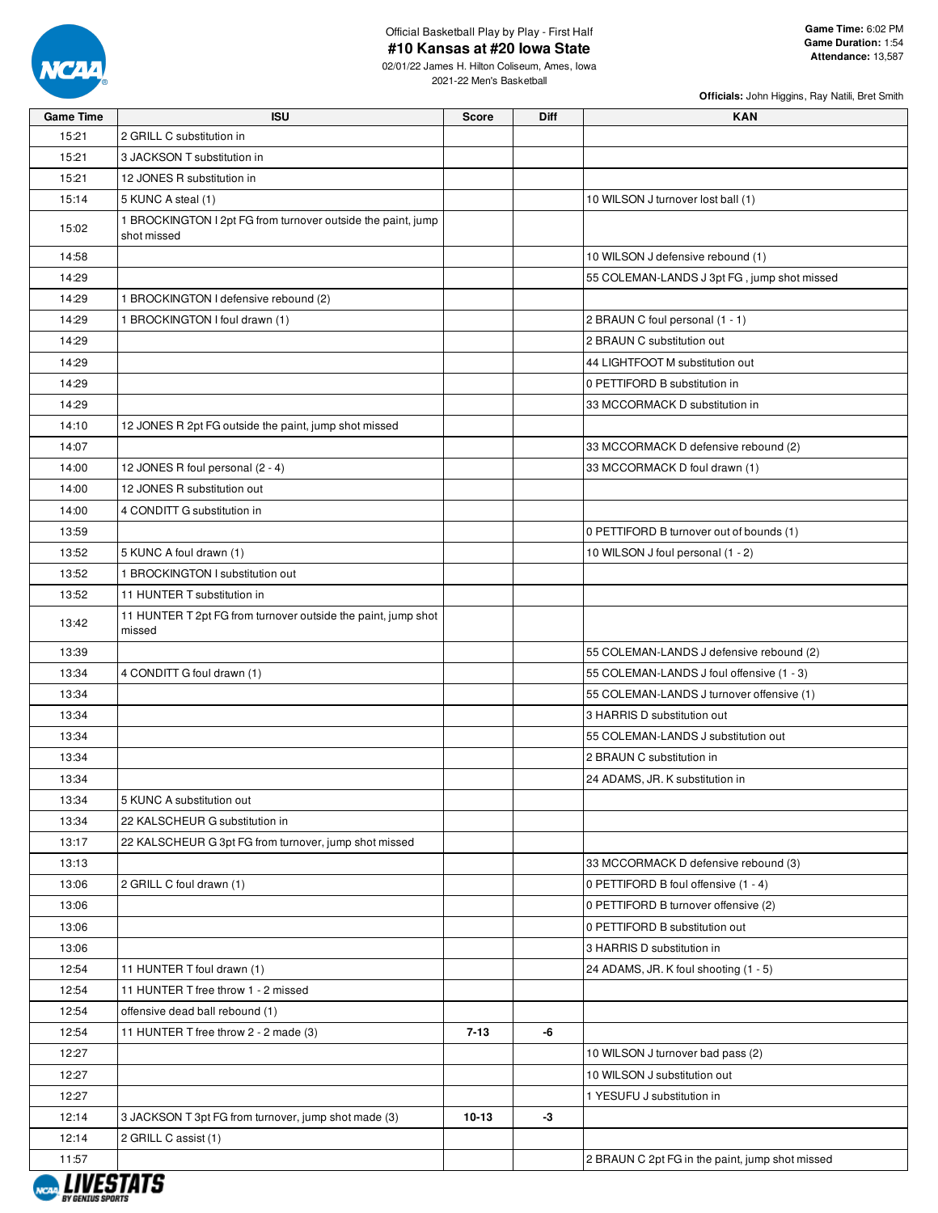

02/01/22 James H. Hilton Coliseum, Ames, Iowa 2021-22 Men's Basketball

| <b>Game Time</b> | <b>ISU</b>                                                                  | <b>Score</b> | <b>Diff</b> | <b>KAN</b>                                      |
|------------------|-----------------------------------------------------------------------------|--------------|-------------|-------------------------------------------------|
| 15:21            | 2 GRILL C substitution in                                                   |              |             |                                                 |
| 15:21            | 3 JACKSON T substitution in                                                 |              |             |                                                 |
| 15:21            | 12 JONES R substitution in                                                  |              |             |                                                 |
| 15:14            | 5 KUNC A steal (1)                                                          |              |             | 10 WILSON J turnover lost ball (1)              |
| 15:02            | 1 BROCKINGTON I 2pt FG from turnover outside the paint, jump<br>shot missed |              |             |                                                 |
| 14:58            |                                                                             |              |             | 10 WILSON J defensive rebound (1)               |
| 14:29            |                                                                             |              |             | 55 COLEMAN-LANDS J 3pt FG, jump shot missed     |
| 14:29            | 1 BROCKINGTON I defensive rebound (2)                                       |              |             |                                                 |
| 14:29            | 1 BROCKINGTON I foul drawn (1)                                              |              |             | 2 BRAUN C foul personal (1 - 1)                 |
| 14:29            |                                                                             |              |             | 2 BRAUN C substitution out                      |
| 14:29            |                                                                             |              |             | 44 LIGHTFOOT M substitution out                 |
| 14:29            |                                                                             |              |             | 0 PETTIFORD B substitution in                   |
| 14:29            |                                                                             |              |             | 33 MCCORMACK D substitution in                  |
| 14:10            | 12 JONES R 2pt FG outside the paint, jump shot missed                       |              |             |                                                 |
| 14:07            |                                                                             |              |             | 33 MCCORMACK D defensive rebound (2)            |
| 14:00            | 12 JONES R foul personal (2 - 4)                                            |              |             | 33 MCCORMACK D foul drawn (1)                   |
| 14:00            | 12 JONES R substitution out                                                 |              |             |                                                 |
| 14:00            | 4 CONDITT G substitution in                                                 |              |             |                                                 |
| 13:59            |                                                                             |              |             | 0 PETTIFORD B turnover out of bounds (1)        |
| 13:52            | 5 KUNC A foul drawn (1)                                                     |              |             | 10 WILSON J foul personal (1 - 2)               |
| 13:52            | 1 BROCKINGTON I substitution out                                            |              |             |                                                 |
| 13:52            | 11 HUNTER T substitution in                                                 |              |             |                                                 |
| 13:42            | 11 HUNTER T 2pt FG from turnover outside the paint, jump shot<br>missed     |              |             |                                                 |
| 13:39            |                                                                             |              |             | 55 COLEMAN-LANDS J defensive rebound (2)        |
| 13:34            | 4 CONDITT G foul drawn (1)                                                  |              |             | 55 COLEMAN-LANDS J foul offensive (1 - 3)       |
| 13:34            |                                                                             |              |             | 55 COLEMAN-LANDS J turnover offensive (1)       |
| 13:34            |                                                                             |              |             | 3 HARRIS D substitution out                     |
| 13:34            |                                                                             |              |             | 55 COLEMAN-LANDS J substitution out             |
| 13:34            |                                                                             |              |             | 2 BRAUN C substitution in                       |
| 13:34            |                                                                             |              |             | 24 ADAMS, JR. K substitution in                 |
| 13:34            | 5 KUNC A substitution out                                                   |              |             |                                                 |
| 13:34            | 22 KALSCHEUR G substitution in                                              |              |             |                                                 |
| 13:17            | 22 KALSCHEUR G 3pt FG from turnover, jump shot missed                       |              |             |                                                 |
| 13:13            |                                                                             |              |             | 33 MCCORMACK D defensive rebound (3)            |
| 13:06            | 2 GRILL C foul drawn (1)                                                    |              |             | 0 PETTIFORD B foul offensive (1 - 4)            |
| 13:06            |                                                                             |              |             | 0 PETTIFORD B turnover offensive (2)            |
| 13:06            |                                                                             |              |             | 0 PETTIFORD B substitution out                  |
| 13:06            |                                                                             |              |             | 3 HARRIS D substitution in                      |
| 12:54            | 11 HUNTER T foul drawn (1)                                                  |              |             | 24 ADAMS, JR. K foul shooting (1 - 5)           |
| 12:54            | 11 HUNTER T free throw 1 - 2 missed                                         |              |             |                                                 |
| 12:54            | offensive dead ball rebound (1)                                             |              |             |                                                 |
| 12:54            | 11 HUNTER T free throw 2 - 2 made (3)                                       | $7 - 13$     | -6          |                                                 |
| 12:27            |                                                                             |              |             | 10 WILSON J turnover bad pass (2)               |
| 12:27            |                                                                             |              |             | 10 WILSON J substitution out                    |
| 12:27            |                                                                             |              |             | 1 YESUFU J substitution in                      |
| 12:14            | 3 JACKSON T 3pt FG from turnover, jump shot made (3)                        | $10-13$      | -3          |                                                 |
| 12:14            | 2 GRILL C assist (1)                                                        |              |             |                                                 |
| 11:57            |                                                                             |              |             | 2 BRAUN C 2pt FG in the paint, jump shot missed |

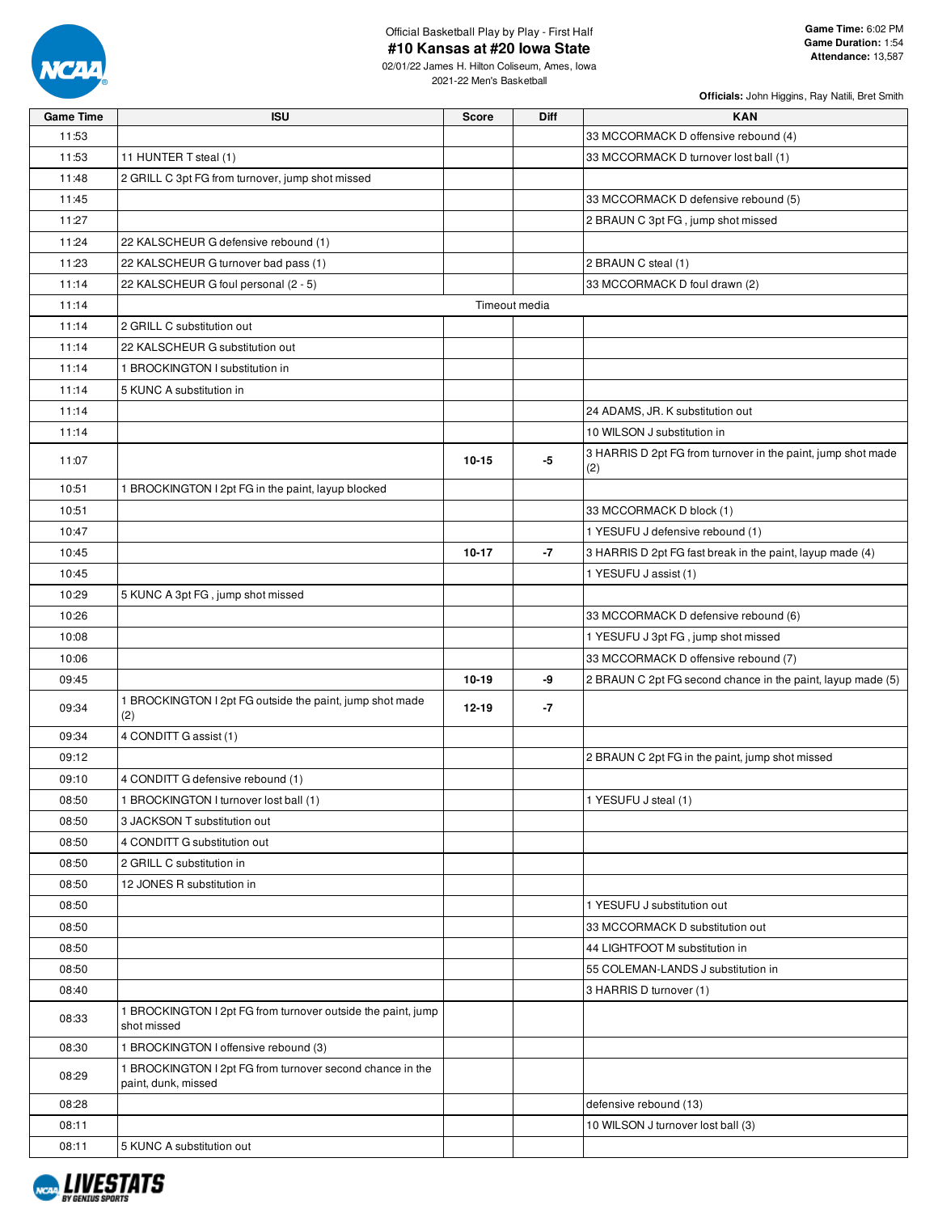

02/01/22 James H. Hilton Coliseum, Ames, Iowa 2021-22 Men's Basketball

| <b>Game Time</b> | <b>ISU</b>                                                                       | <b>Score</b> | <b>Diff</b>   | <b>KAN</b>                                                   |
|------------------|----------------------------------------------------------------------------------|--------------|---------------|--------------------------------------------------------------|
| 11:53            |                                                                                  |              |               | 33 MCCORMACK D offensive rebound (4)                         |
| 11:53            | 11 HUNTER T steal (1)                                                            |              |               | 33 MCCORMACK D turnover lost ball (1)                        |
| 11:48            | 2 GRILL C 3pt FG from turnover, jump shot missed                                 |              |               |                                                              |
| 11:45            |                                                                                  |              |               | 33 MCCORMACK D defensive rebound (5)                         |
| 11:27            |                                                                                  |              |               | 2 BRAUN C 3pt FG, jump shot missed                           |
| 11:24            | 22 KALSCHEUR G defensive rebound (1)                                             |              |               |                                                              |
| 11:23            | 22 KALSCHEUR G turnover bad pass (1)                                             |              |               | 2 BRAUN C steal (1)                                          |
| 11:14            | 22 KALSCHEUR G foul personal (2 - 5)                                             |              |               | 33 MCCORMACK D foul drawn (2)                                |
| 11:14            |                                                                                  |              | Timeout media |                                                              |
| 11:14            | 2 GRILL C substitution out                                                       |              |               |                                                              |
| 11:14            | 22 KALSCHEUR G substitution out                                                  |              |               |                                                              |
| 11:14            | 1 BROCKINGTON I substitution in                                                  |              |               |                                                              |
| 11:14            | 5 KUNC A substitution in                                                         |              |               |                                                              |
| 11:14            |                                                                                  |              |               | 24 ADAMS, JR. K substitution out                             |
| 11:14            |                                                                                  |              |               | 10 WILSON J substitution in                                  |
| 11:07            |                                                                                  | $10 - 15$    | -5            | 3 HARRIS D 2pt FG from turnover in the paint, jump shot made |
|                  |                                                                                  |              |               | (2)                                                          |
| 10:51            | 1 BROCKINGTON I 2pt FG in the paint, layup blocked                               |              |               |                                                              |
| 10:51            |                                                                                  |              |               | 33 MCCORMACK D block (1)                                     |
| 10:47            |                                                                                  |              |               | 1 YESUFU J defensive rebound (1)                             |
| 10:45            |                                                                                  | $10 - 17$    | -7            | 3 HARRIS D 2pt FG fast break in the paint, layup made (4)    |
| 10:45            |                                                                                  |              |               | 1 YESUFU J assist (1)                                        |
| 10:29            | 5 KUNC A 3pt FG, jump shot missed                                                |              |               |                                                              |
| 10:26            |                                                                                  |              |               | 33 MCCORMACK D defensive rebound (6)                         |
| 10:08            |                                                                                  |              |               | 1 YESUFU J 3pt FG, jump shot missed                          |
| 10:06            |                                                                                  |              |               | 33 MCCORMACK D offensive rebound (7)                         |
| 09:45            |                                                                                  | $10 - 19$    | -9            | 2 BRAUN C 2pt FG second chance in the paint, layup made (5)  |
| 09:34            | 1 BROCKINGTON I 2pt FG outside the paint, jump shot made<br>(2)                  | $12 - 19$    | -7            |                                                              |
| 09:34            | 4 CONDITT G assist (1)                                                           |              |               |                                                              |
| 09:12            |                                                                                  |              |               | 2 BRAUN C 2pt FG in the paint, jump shot missed              |
| 09:10            | 4 CONDITT G defensive rebound (1)                                                |              |               |                                                              |
| 08:50            | 1 BROCKINGTON I turnover lost ball (1)                                           |              |               | 1 YESUFU J steal (1)                                         |
| 08:50            | 3 JACKSON T substitution out                                                     |              |               |                                                              |
| 08:50            | 4 CONDITT G substitution out                                                     |              |               |                                                              |
| 08:50            | 2 GRILL C substitution in                                                        |              |               |                                                              |
| 08:50            | 12 JONES R substitution in                                                       |              |               |                                                              |
| 08:50            |                                                                                  |              |               | 1 YESUFU J substitution out                                  |
| 08:50            |                                                                                  |              |               | 33 MCCORMACK D substitution out                              |
| 08:50            |                                                                                  |              |               | 44 LIGHTFOOT M substitution in                               |
| 08:50            |                                                                                  |              |               | 55 COLEMAN-LANDS J substitution in                           |
| 08:40            |                                                                                  |              |               | 3 HARRIS D turnover (1)                                      |
| 08:33            | 1 BROCKINGTON I 2pt FG from turnover outside the paint, jump<br>shot missed      |              |               |                                                              |
| 08:30            | 1 BROCKINGTON I offensive rebound (3)                                            |              |               |                                                              |
| 08:29            | 1 BROCKINGTON I 2pt FG from turnover second chance in the<br>paint, dunk, missed |              |               |                                                              |
| 08:28            |                                                                                  |              |               | defensive rebound (13)                                       |
| 08:11            |                                                                                  |              |               | 10 WILSON J turnover lost ball (3)                           |
| 08:11            | 5 KUNC A substitution out                                                        |              |               |                                                              |

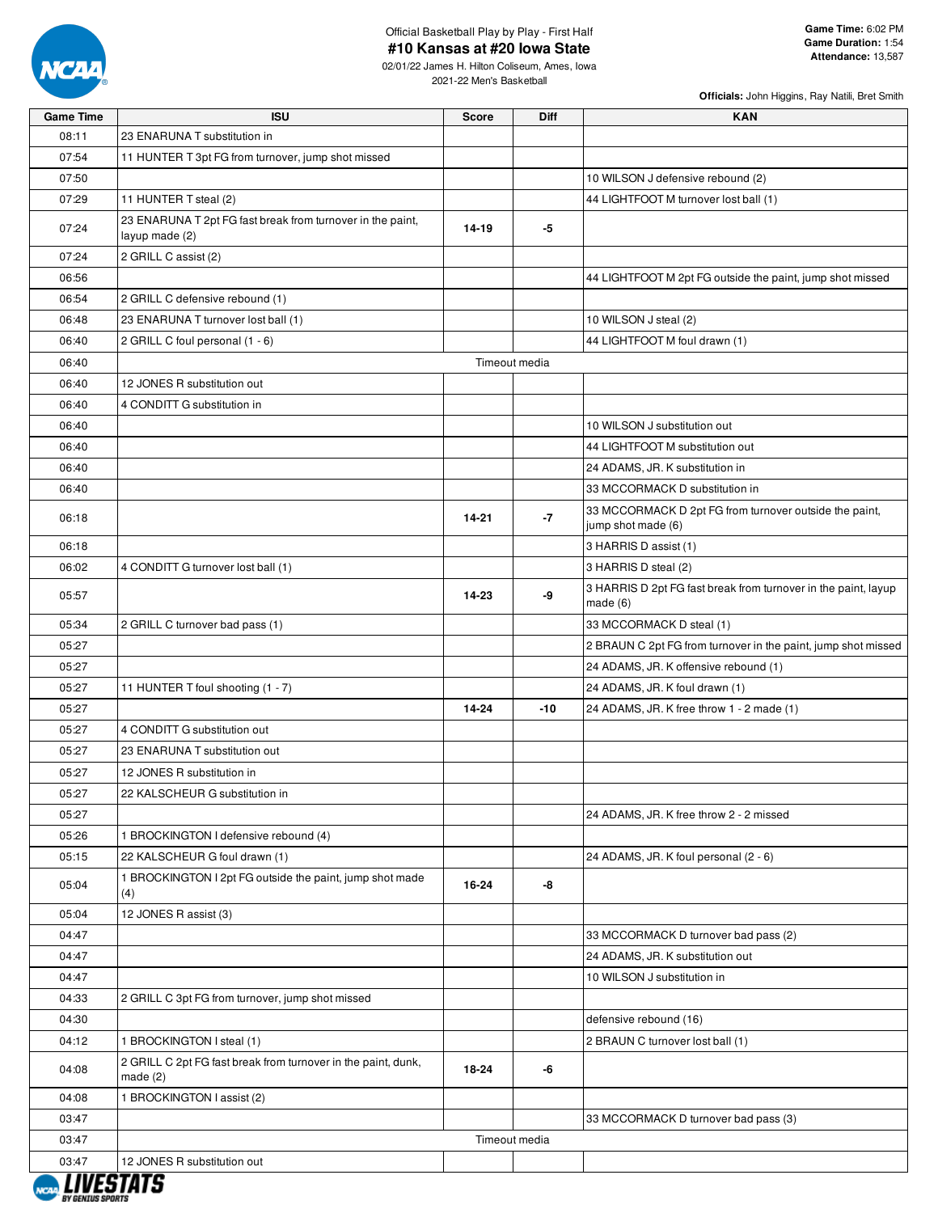

02/01/22 James H. Hilton Coliseum, Ames, Iowa 2021-22 Men's Basketball

| <b>Game Time</b> | <b>ISU</b>                                                                   | <b>Score</b> | <b>Diff</b>   | <b>KAN</b>                                                                   |
|------------------|------------------------------------------------------------------------------|--------------|---------------|------------------------------------------------------------------------------|
| 08:11            | 23 ENARUNA T substitution in                                                 |              |               |                                                                              |
| 07:54            | 11 HUNTER T 3pt FG from turnover, jump shot missed                           |              |               |                                                                              |
| 07:50            |                                                                              |              |               | 10 WILSON J defensive rebound (2)                                            |
| 07:29            | 11 HUNTER T steal (2)                                                        |              |               | 44 LIGHTFOOT M turnover lost ball (1)                                        |
| 07:24            | 23 ENARUNA T 2pt FG fast break from turnover in the paint,<br>layup made (2) | 14-19        | -5            |                                                                              |
| 07:24            | 2 GRILL C assist (2)                                                         |              |               |                                                                              |
| 06:56            |                                                                              |              |               | 44 LIGHTFOOT M 2pt FG outside the paint, jump shot missed                    |
| 06:54            | 2 GRILL C defensive rebound (1)                                              |              |               |                                                                              |
| 06:48            | 23 ENARUNA T turnover lost ball (1)                                          |              |               | 10 WILSON J steal (2)                                                        |
| 06:40            | 2 GRILL C foul personal (1 - 6)                                              |              |               | 44 LIGHTFOOT M foul drawn (1)                                                |
| 06:40            |                                                                              |              | Timeout media |                                                                              |
| 06:40            | 12 JONES R substitution out                                                  |              |               |                                                                              |
| 06:40            | 4 CONDITT G substitution in                                                  |              |               |                                                                              |
| 06:40            |                                                                              |              |               | 10 WILSON J substitution out                                                 |
| 06:40            |                                                                              |              |               | 44 LIGHTFOOT M substitution out                                              |
| 06:40            |                                                                              |              |               | 24 ADAMS, JR. K substitution in                                              |
| 06:40            |                                                                              |              |               | 33 MCCORMACK D substitution in                                               |
| 06:18            |                                                                              | $14 - 21$    | $-7$          | 33 MCCORMACK D 2pt FG from turnover outside the paint,<br>jump shot made (6) |
| 06:18            |                                                                              |              |               | 3 HARRIS D assist (1)                                                        |
| 06:02            | 4 CONDITT G turnover lost ball (1)                                           |              |               | 3 HARRIS D steal (2)                                                         |
| 05:57            |                                                                              | 14-23        | -9            | 3 HARRIS D 2pt FG fast break from turnover in the paint, layup<br>made $(6)$ |
| 05:34            | 2 GRILL C turnover bad pass (1)                                              |              |               | 33 MCCORMACK D steal (1)                                                     |
| 05:27            |                                                                              |              |               | 2 BRAUN C 2pt FG from turnover in the paint, jump shot missed                |
| 05:27            |                                                                              |              |               | 24 ADAMS, JR. K offensive rebound (1)                                        |
| 05:27            | 11 HUNTER T foul shooting (1 - 7)                                            |              |               | 24 ADAMS, JR. K foul drawn (1)                                               |
| 05:27            |                                                                              | 14-24        | $-10$         | 24 ADAMS, JR. K free throw 1 - 2 made (1)                                    |
| 05:27            | 4 CONDITT G substitution out                                                 |              |               |                                                                              |
| 05:27            | 23 ENARUNA T substitution out                                                |              |               |                                                                              |
| 05:27            | 12 JONES R substitution in                                                   |              |               |                                                                              |
| 05:27            | 22 KALSCHEUR G substitution in                                               |              |               |                                                                              |
| 05:27            |                                                                              |              |               | 24 ADAMS, JR. K free throw 2 - 2 missed                                      |
| 05:26            | 1 BROCKINGTON I defensive rebound (4)                                        |              |               |                                                                              |
| 05:15            | 22 KALSCHEUR G foul drawn (1)                                                |              |               | 24 ADAMS, JR. K foul personal (2 - 6)                                        |
| 05:04            | 1 BROCKINGTON I 2pt FG outside the paint, jump shot made<br>(4)              | 16-24        | -8            |                                                                              |
| 05:04            | 12 JONES R assist (3)                                                        |              |               |                                                                              |
| 04:47            |                                                                              |              |               | 33 MCCORMACK D turnover bad pass (2)                                         |
| 04:47            |                                                                              |              |               | 24 ADAMS, JR. K substitution out                                             |
| 04:47            |                                                                              |              |               | 10 WILSON J substitution in                                                  |
| 04:33            | 2 GRILL C 3pt FG from turnover, jump shot missed                             |              |               |                                                                              |
| 04:30            |                                                                              |              |               | defensive rebound (16)                                                       |
| 04:12            | 1 BROCKINGTON I steal (1)                                                    |              |               | 2 BRAUN C turnover lost ball (1)                                             |
| 04:08            | 2 GRILL C 2pt FG fast break from turnover in the paint, dunk,<br>made $(2)$  | 18-24        | -6            |                                                                              |
| 04:08            | 1 BROCKINGTON I assist (2)                                                   |              |               |                                                                              |
| 03:47            |                                                                              |              |               | 33 MCCORMACK D turnover bad pass (3)                                         |
| 03:47            |                                                                              |              | Timeout media |                                                                              |
| 03:47            | 12 JONES R substitution out                                                  |              |               |                                                                              |
|                  |                                                                              |              |               |                                                                              |

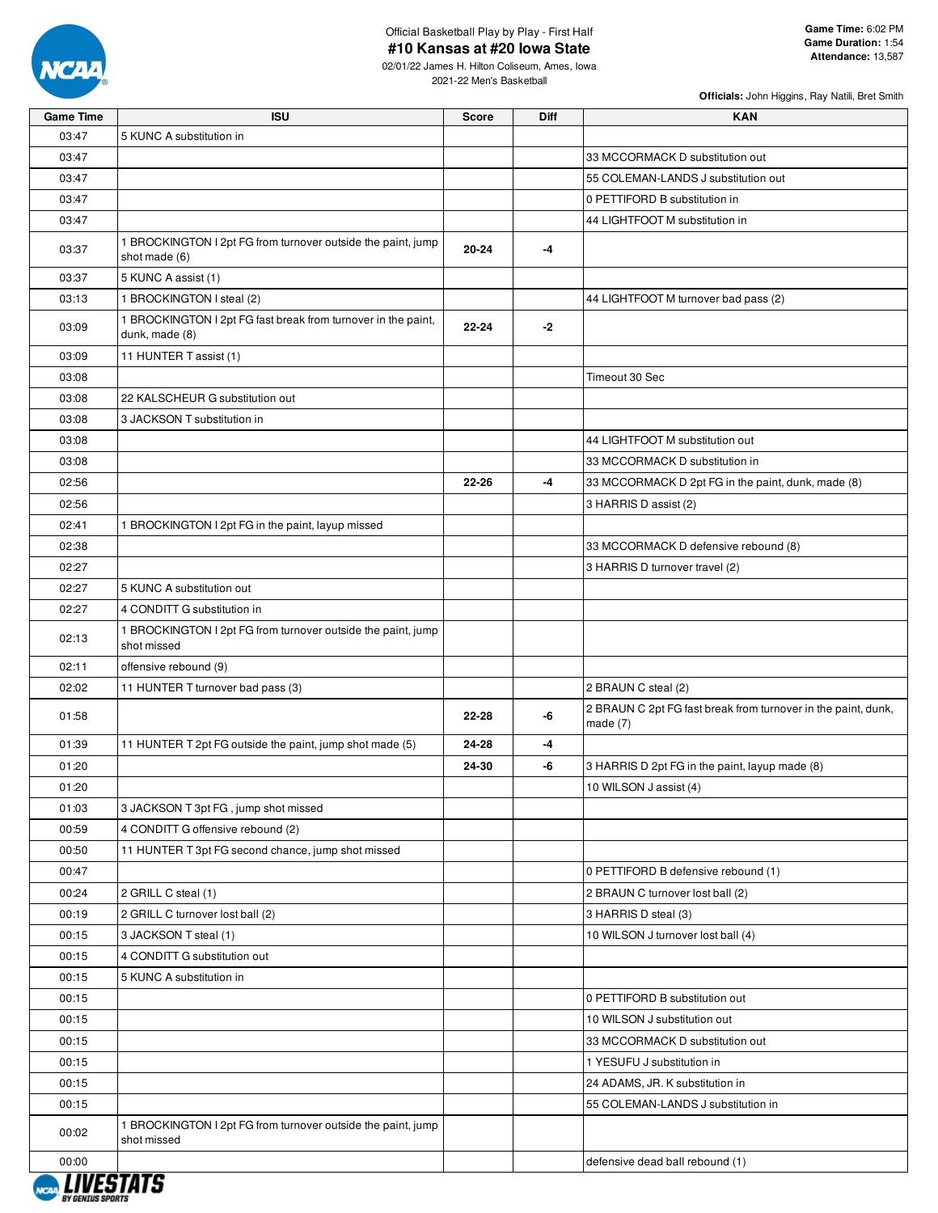

02/01/22 James H. Hilton Coliseum, Ames, Iowa 2021-22 Men's Basketball

| 03:47<br>5 KUNC A substitution in<br>03:47<br>33 MCCORMACK D substitution out<br>03:47<br>55 COLEMAN-LANDS J substitution out<br>03:47<br>0 PETTIFORD B substitution in<br>03:47<br>44 LIGHTFOOT M substitution in<br>1 BROCKINGTON I 2pt FG from turnover outside the paint, jump<br>20-24<br>03:37<br>-4<br>shot made (6)<br>03:37<br>5 KUNC A assist (1)<br>1 BROCKINGTON I steal (2)<br>44 LIGHTFOOT M turnover bad pass (2)<br>03:13<br>1 BROCKINGTON I 2pt FG fast break from turnover in the paint,<br>$22 - 24$<br>$-2$<br>03:09<br>dunk, made (8)<br>11 HUNTER T assist (1)<br>03:09<br>Timeout 30 Sec<br>03:08<br>03:08<br>22 KALSCHEUR G substitution out<br>3 JACKSON T substitution in<br>03:08<br>03:08<br>44 LIGHTFOOT M substitution out<br>03:08<br>33 MCCORMACK D substitution in<br>22-26<br>-4<br>02:56<br>33 MCCORMACK D 2pt FG in the paint, dunk, made (8)<br>02:56<br>3 HARRIS D assist (2)<br>02:41<br>1 BROCKINGTON I 2pt FG in the paint, layup missed<br>02:38<br>33 MCCORMACK D defensive rebound (8)<br>02:27<br>3 HARRIS D turnover travel (2)<br>02:27<br>5 KUNC A substitution out<br>02:27<br>4 CONDITT G substitution in<br>1 BROCKINGTON I 2pt FG from turnover outside the paint, jump<br>02:13<br>shot missed<br>offensive rebound (9)<br>02:11<br>02:02<br>11 HUNTER T turnover bad pass (3)<br>2 BRAUN C steal (2)<br>2 BRAUN C 2pt FG fast break from turnover in the paint, dunk,<br>01:58<br>-6<br>22-28<br>made $(7)$<br>01:39<br>11 HUNTER T 2pt FG outside the paint, jump shot made (5)<br>24-28<br>-4<br>24-30<br>01:20<br>-6<br>3 HARRIS D 2pt FG in the paint, layup made (8)<br>01:20<br>10 WILSON J assist (4)<br>01:03<br>3 JACKSON T 3pt FG, jump shot missed<br>00:59<br>4 CONDITT G offensive rebound (2)<br>11 HUNTER T 3pt FG second chance, jump shot missed<br>00:50<br>00:47<br>0 PETTIFORD B defensive rebound (1)<br>00:24<br>2 GRILL C steal (1)<br>2 BRAUN C turnover lost ball (2)<br>00:19<br>2 GRILL C turnover lost ball (2)<br>3 HARRIS D steal (3)<br>00:15<br>3 JACKSON T steal (1)<br>10 WILSON J turnover lost ball (4)<br>00:15<br>4 CONDITT G substitution out<br>00:15<br>5 KUNC A substitution in<br>00:15<br>0 PETTIFORD B substitution out<br>10 WILSON J substitution out<br>00:15<br>00:15<br>33 MCCORMACK D substitution out<br>00:15<br>1 YESUFU J substitution in<br>00:15<br>24 ADAMS, JR. K substitution in<br>55 COLEMAN-LANDS J substitution in<br>00:15<br>1 BROCKINGTON I 2pt FG from turnover outside the paint, jump<br>00:02<br>shot missed<br>00:00<br>defensive dead ball rebound (1)<br>, ,,,, , , , , , , | <b>Game Time</b> | <b>ISU</b> | <b>Score</b> | <b>Diff</b> | <b>KAN</b> |
|-------------------------------------------------------------------------------------------------------------------------------------------------------------------------------------------------------------------------------------------------------------------------------------------------------------------------------------------------------------------------------------------------------------------------------------------------------------------------------------------------------------------------------------------------------------------------------------------------------------------------------------------------------------------------------------------------------------------------------------------------------------------------------------------------------------------------------------------------------------------------------------------------------------------------------------------------------------------------------------------------------------------------------------------------------------------------------------------------------------------------------------------------------------------------------------------------------------------------------------------------------------------------------------------------------------------------------------------------------------------------------------------------------------------------------------------------------------------------------------------------------------------------------------------------------------------------------------------------------------------------------------------------------------------------------------------------------------------------------------------------------------------------------------------------------------------------------------------------------------------------------------------------------------------------------------------------------------------------------------------------------------------------------------------------------------------------------------------------------------------------------------------------------------------------------------------------------------------------------------------------------------------------------------------------------------------------------------------------------------------------------------------------------------------------------------------------------------------------------------------------------------------------------------------------------------------------------------------------------------|------------------|------------|--------------|-------------|------------|
|                                                                                                                                                                                                                                                                                                                                                                                                                                                                                                                                                                                                                                                                                                                                                                                                                                                                                                                                                                                                                                                                                                                                                                                                                                                                                                                                                                                                                                                                                                                                                                                                                                                                                                                                                                                                                                                                                                                                                                                                                                                                                                                                                                                                                                                                                                                                                                                                                                                                                                                                                                                                             |                  |            |              |             |            |
|                                                                                                                                                                                                                                                                                                                                                                                                                                                                                                                                                                                                                                                                                                                                                                                                                                                                                                                                                                                                                                                                                                                                                                                                                                                                                                                                                                                                                                                                                                                                                                                                                                                                                                                                                                                                                                                                                                                                                                                                                                                                                                                                                                                                                                                                                                                                                                                                                                                                                                                                                                                                             |                  |            |              |             |            |
|                                                                                                                                                                                                                                                                                                                                                                                                                                                                                                                                                                                                                                                                                                                                                                                                                                                                                                                                                                                                                                                                                                                                                                                                                                                                                                                                                                                                                                                                                                                                                                                                                                                                                                                                                                                                                                                                                                                                                                                                                                                                                                                                                                                                                                                                                                                                                                                                                                                                                                                                                                                                             |                  |            |              |             |            |
|                                                                                                                                                                                                                                                                                                                                                                                                                                                                                                                                                                                                                                                                                                                                                                                                                                                                                                                                                                                                                                                                                                                                                                                                                                                                                                                                                                                                                                                                                                                                                                                                                                                                                                                                                                                                                                                                                                                                                                                                                                                                                                                                                                                                                                                                                                                                                                                                                                                                                                                                                                                                             |                  |            |              |             |            |
|                                                                                                                                                                                                                                                                                                                                                                                                                                                                                                                                                                                                                                                                                                                                                                                                                                                                                                                                                                                                                                                                                                                                                                                                                                                                                                                                                                                                                                                                                                                                                                                                                                                                                                                                                                                                                                                                                                                                                                                                                                                                                                                                                                                                                                                                                                                                                                                                                                                                                                                                                                                                             |                  |            |              |             |            |
|                                                                                                                                                                                                                                                                                                                                                                                                                                                                                                                                                                                                                                                                                                                                                                                                                                                                                                                                                                                                                                                                                                                                                                                                                                                                                                                                                                                                                                                                                                                                                                                                                                                                                                                                                                                                                                                                                                                                                                                                                                                                                                                                                                                                                                                                                                                                                                                                                                                                                                                                                                                                             |                  |            |              |             |            |
|                                                                                                                                                                                                                                                                                                                                                                                                                                                                                                                                                                                                                                                                                                                                                                                                                                                                                                                                                                                                                                                                                                                                                                                                                                                                                                                                                                                                                                                                                                                                                                                                                                                                                                                                                                                                                                                                                                                                                                                                                                                                                                                                                                                                                                                                                                                                                                                                                                                                                                                                                                                                             |                  |            |              |             |            |
|                                                                                                                                                                                                                                                                                                                                                                                                                                                                                                                                                                                                                                                                                                                                                                                                                                                                                                                                                                                                                                                                                                                                                                                                                                                                                                                                                                                                                                                                                                                                                                                                                                                                                                                                                                                                                                                                                                                                                                                                                                                                                                                                                                                                                                                                                                                                                                                                                                                                                                                                                                                                             |                  |            |              |             |            |
|                                                                                                                                                                                                                                                                                                                                                                                                                                                                                                                                                                                                                                                                                                                                                                                                                                                                                                                                                                                                                                                                                                                                                                                                                                                                                                                                                                                                                                                                                                                                                                                                                                                                                                                                                                                                                                                                                                                                                                                                                                                                                                                                                                                                                                                                                                                                                                                                                                                                                                                                                                                                             |                  |            |              |             |            |
|                                                                                                                                                                                                                                                                                                                                                                                                                                                                                                                                                                                                                                                                                                                                                                                                                                                                                                                                                                                                                                                                                                                                                                                                                                                                                                                                                                                                                                                                                                                                                                                                                                                                                                                                                                                                                                                                                                                                                                                                                                                                                                                                                                                                                                                                                                                                                                                                                                                                                                                                                                                                             |                  |            |              |             |            |
|                                                                                                                                                                                                                                                                                                                                                                                                                                                                                                                                                                                                                                                                                                                                                                                                                                                                                                                                                                                                                                                                                                                                                                                                                                                                                                                                                                                                                                                                                                                                                                                                                                                                                                                                                                                                                                                                                                                                                                                                                                                                                                                                                                                                                                                                                                                                                                                                                                                                                                                                                                                                             |                  |            |              |             |            |
|                                                                                                                                                                                                                                                                                                                                                                                                                                                                                                                                                                                                                                                                                                                                                                                                                                                                                                                                                                                                                                                                                                                                                                                                                                                                                                                                                                                                                                                                                                                                                                                                                                                                                                                                                                                                                                                                                                                                                                                                                                                                                                                                                                                                                                                                                                                                                                                                                                                                                                                                                                                                             |                  |            |              |             |            |
|                                                                                                                                                                                                                                                                                                                                                                                                                                                                                                                                                                                                                                                                                                                                                                                                                                                                                                                                                                                                                                                                                                                                                                                                                                                                                                                                                                                                                                                                                                                                                                                                                                                                                                                                                                                                                                                                                                                                                                                                                                                                                                                                                                                                                                                                                                                                                                                                                                                                                                                                                                                                             |                  |            |              |             |            |
|                                                                                                                                                                                                                                                                                                                                                                                                                                                                                                                                                                                                                                                                                                                                                                                                                                                                                                                                                                                                                                                                                                                                                                                                                                                                                                                                                                                                                                                                                                                                                                                                                                                                                                                                                                                                                                                                                                                                                                                                                                                                                                                                                                                                                                                                                                                                                                                                                                                                                                                                                                                                             |                  |            |              |             |            |
|                                                                                                                                                                                                                                                                                                                                                                                                                                                                                                                                                                                                                                                                                                                                                                                                                                                                                                                                                                                                                                                                                                                                                                                                                                                                                                                                                                                                                                                                                                                                                                                                                                                                                                                                                                                                                                                                                                                                                                                                                                                                                                                                                                                                                                                                                                                                                                                                                                                                                                                                                                                                             |                  |            |              |             |            |
|                                                                                                                                                                                                                                                                                                                                                                                                                                                                                                                                                                                                                                                                                                                                                                                                                                                                                                                                                                                                                                                                                                                                                                                                                                                                                                                                                                                                                                                                                                                                                                                                                                                                                                                                                                                                                                                                                                                                                                                                                                                                                                                                                                                                                                                                                                                                                                                                                                                                                                                                                                                                             |                  |            |              |             |            |
|                                                                                                                                                                                                                                                                                                                                                                                                                                                                                                                                                                                                                                                                                                                                                                                                                                                                                                                                                                                                                                                                                                                                                                                                                                                                                                                                                                                                                                                                                                                                                                                                                                                                                                                                                                                                                                                                                                                                                                                                                                                                                                                                                                                                                                                                                                                                                                                                                                                                                                                                                                                                             |                  |            |              |             |            |
|                                                                                                                                                                                                                                                                                                                                                                                                                                                                                                                                                                                                                                                                                                                                                                                                                                                                                                                                                                                                                                                                                                                                                                                                                                                                                                                                                                                                                                                                                                                                                                                                                                                                                                                                                                                                                                                                                                                                                                                                                                                                                                                                                                                                                                                                                                                                                                                                                                                                                                                                                                                                             |                  |            |              |             |            |
|                                                                                                                                                                                                                                                                                                                                                                                                                                                                                                                                                                                                                                                                                                                                                                                                                                                                                                                                                                                                                                                                                                                                                                                                                                                                                                                                                                                                                                                                                                                                                                                                                                                                                                                                                                                                                                                                                                                                                                                                                                                                                                                                                                                                                                                                                                                                                                                                                                                                                                                                                                                                             |                  |            |              |             |            |
|                                                                                                                                                                                                                                                                                                                                                                                                                                                                                                                                                                                                                                                                                                                                                                                                                                                                                                                                                                                                                                                                                                                                                                                                                                                                                                                                                                                                                                                                                                                                                                                                                                                                                                                                                                                                                                                                                                                                                                                                                                                                                                                                                                                                                                                                                                                                                                                                                                                                                                                                                                                                             |                  |            |              |             |            |
|                                                                                                                                                                                                                                                                                                                                                                                                                                                                                                                                                                                                                                                                                                                                                                                                                                                                                                                                                                                                                                                                                                                                                                                                                                                                                                                                                                                                                                                                                                                                                                                                                                                                                                                                                                                                                                                                                                                                                                                                                                                                                                                                                                                                                                                                                                                                                                                                                                                                                                                                                                                                             |                  |            |              |             |            |
|                                                                                                                                                                                                                                                                                                                                                                                                                                                                                                                                                                                                                                                                                                                                                                                                                                                                                                                                                                                                                                                                                                                                                                                                                                                                                                                                                                                                                                                                                                                                                                                                                                                                                                                                                                                                                                                                                                                                                                                                                                                                                                                                                                                                                                                                                                                                                                                                                                                                                                                                                                                                             |                  |            |              |             |            |
|                                                                                                                                                                                                                                                                                                                                                                                                                                                                                                                                                                                                                                                                                                                                                                                                                                                                                                                                                                                                                                                                                                                                                                                                                                                                                                                                                                                                                                                                                                                                                                                                                                                                                                                                                                                                                                                                                                                                                                                                                                                                                                                                                                                                                                                                                                                                                                                                                                                                                                                                                                                                             |                  |            |              |             |            |
|                                                                                                                                                                                                                                                                                                                                                                                                                                                                                                                                                                                                                                                                                                                                                                                                                                                                                                                                                                                                                                                                                                                                                                                                                                                                                                                                                                                                                                                                                                                                                                                                                                                                                                                                                                                                                                                                                                                                                                                                                                                                                                                                                                                                                                                                                                                                                                                                                                                                                                                                                                                                             |                  |            |              |             |            |
|                                                                                                                                                                                                                                                                                                                                                                                                                                                                                                                                                                                                                                                                                                                                                                                                                                                                                                                                                                                                                                                                                                                                                                                                                                                                                                                                                                                                                                                                                                                                                                                                                                                                                                                                                                                                                                                                                                                                                                                                                                                                                                                                                                                                                                                                                                                                                                                                                                                                                                                                                                                                             |                  |            |              |             |            |
|                                                                                                                                                                                                                                                                                                                                                                                                                                                                                                                                                                                                                                                                                                                                                                                                                                                                                                                                                                                                                                                                                                                                                                                                                                                                                                                                                                                                                                                                                                                                                                                                                                                                                                                                                                                                                                                                                                                                                                                                                                                                                                                                                                                                                                                                                                                                                                                                                                                                                                                                                                                                             |                  |            |              |             |            |
|                                                                                                                                                                                                                                                                                                                                                                                                                                                                                                                                                                                                                                                                                                                                                                                                                                                                                                                                                                                                                                                                                                                                                                                                                                                                                                                                                                                                                                                                                                                                                                                                                                                                                                                                                                                                                                                                                                                                                                                                                                                                                                                                                                                                                                                                                                                                                                                                                                                                                                                                                                                                             |                  |            |              |             |            |
|                                                                                                                                                                                                                                                                                                                                                                                                                                                                                                                                                                                                                                                                                                                                                                                                                                                                                                                                                                                                                                                                                                                                                                                                                                                                                                                                                                                                                                                                                                                                                                                                                                                                                                                                                                                                                                                                                                                                                                                                                                                                                                                                                                                                                                                                                                                                                                                                                                                                                                                                                                                                             |                  |            |              |             |            |
|                                                                                                                                                                                                                                                                                                                                                                                                                                                                                                                                                                                                                                                                                                                                                                                                                                                                                                                                                                                                                                                                                                                                                                                                                                                                                                                                                                                                                                                                                                                                                                                                                                                                                                                                                                                                                                                                                                                                                                                                                                                                                                                                                                                                                                                                                                                                                                                                                                                                                                                                                                                                             |                  |            |              |             |            |
|                                                                                                                                                                                                                                                                                                                                                                                                                                                                                                                                                                                                                                                                                                                                                                                                                                                                                                                                                                                                                                                                                                                                                                                                                                                                                                                                                                                                                                                                                                                                                                                                                                                                                                                                                                                                                                                                                                                                                                                                                                                                                                                                                                                                                                                                                                                                                                                                                                                                                                                                                                                                             |                  |            |              |             |            |
|                                                                                                                                                                                                                                                                                                                                                                                                                                                                                                                                                                                                                                                                                                                                                                                                                                                                                                                                                                                                                                                                                                                                                                                                                                                                                                                                                                                                                                                                                                                                                                                                                                                                                                                                                                                                                                                                                                                                                                                                                                                                                                                                                                                                                                                                                                                                                                                                                                                                                                                                                                                                             |                  |            |              |             |            |
|                                                                                                                                                                                                                                                                                                                                                                                                                                                                                                                                                                                                                                                                                                                                                                                                                                                                                                                                                                                                                                                                                                                                                                                                                                                                                                                                                                                                                                                                                                                                                                                                                                                                                                                                                                                                                                                                                                                                                                                                                                                                                                                                                                                                                                                                                                                                                                                                                                                                                                                                                                                                             |                  |            |              |             |            |
|                                                                                                                                                                                                                                                                                                                                                                                                                                                                                                                                                                                                                                                                                                                                                                                                                                                                                                                                                                                                                                                                                                                                                                                                                                                                                                                                                                                                                                                                                                                                                                                                                                                                                                                                                                                                                                                                                                                                                                                                                                                                                                                                                                                                                                                                                                                                                                                                                                                                                                                                                                                                             |                  |            |              |             |            |
|                                                                                                                                                                                                                                                                                                                                                                                                                                                                                                                                                                                                                                                                                                                                                                                                                                                                                                                                                                                                                                                                                                                                                                                                                                                                                                                                                                                                                                                                                                                                                                                                                                                                                                                                                                                                                                                                                                                                                                                                                                                                                                                                                                                                                                                                                                                                                                                                                                                                                                                                                                                                             |                  |            |              |             |            |
|                                                                                                                                                                                                                                                                                                                                                                                                                                                                                                                                                                                                                                                                                                                                                                                                                                                                                                                                                                                                                                                                                                                                                                                                                                                                                                                                                                                                                                                                                                                                                                                                                                                                                                                                                                                                                                                                                                                                                                                                                                                                                                                                                                                                                                                                                                                                                                                                                                                                                                                                                                                                             |                  |            |              |             |            |
|                                                                                                                                                                                                                                                                                                                                                                                                                                                                                                                                                                                                                                                                                                                                                                                                                                                                                                                                                                                                                                                                                                                                                                                                                                                                                                                                                                                                                                                                                                                                                                                                                                                                                                                                                                                                                                                                                                                                                                                                                                                                                                                                                                                                                                                                                                                                                                                                                                                                                                                                                                                                             |                  |            |              |             |            |
|                                                                                                                                                                                                                                                                                                                                                                                                                                                                                                                                                                                                                                                                                                                                                                                                                                                                                                                                                                                                                                                                                                                                                                                                                                                                                                                                                                                                                                                                                                                                                                                                                                                                                                                                                                                                                                                                                                                                                                                                                                                                                                                                                                                                                                                                                                                                                                                                                                                                                                                                                                                                             |                  |            |              |             |            |
|                                                                                                                                                                                                                                                                                                                                                                                                                                                                                                                                                                                                                                                                                                                                                                                                                                                                                                                                                                                                                                                                                                                                                                                                                                                                                                                                                                                                                                                                                                                                                                                                                                                                                                                                                                                                                                                                                                                                                                                                                                                                                                                                                                                                                                                                                                                                                                                                                                                                                                                                                                                                             |                  |            |              |             |            |
|                                                                                                                                                                                                                                                                                                                                                                                                                                                                                                                                                                                                                                                                                                                                                                                                                                                                                                                                                                                                                                                                                                                                                                                                                                                                                                                                                                                                                                                                                                                                                                                                                                                                                                                                                                                                                                                                                                                                                                                                                                                                                                                                                                                                                                                                                                                                                                                                                                                                                                                                                                                                             |                  |            |              |             |            |
|                                                                                                                                                                                                                                                                                                                                                                                                                                                                                                                                                                                                                                                                                                                                                                                                                                                                                                                                                                                                                                                                                                                                                                                                                                                                                                                                                                                                                                                                                                                                                                                                                                                                                                                                                                                                                                                                                                                                                                                                                                                                                                                                                                                                                                                                                                                                                                                                                                                                                                                                                                                                             |                  |            |              |             |            |
|                                                                                                                                                                                                                                                                                                                                                                                                                                                                                                                                                                                                                                                                                                                                                                                                                                                                                                                                                                                                                                                                                                                                                                                                                                                                                                                                                                                                                                                                                                                                                                                                                                                                                                                                                                                                                                                                                                                                                                                                                                                                                                                                                                                                                                                                                                                                                                                                                                                                                                                                                                                                             |                  |            |              |             |            |
|                                                                                                                                                                                                                                                                                                                                                                                                                                                                                                                                                                                                                                                                                                                                                                                                                                                                                                                                                                                                                                                                                                                                                                                                                                                                                                                                                                                                                                                                                                                                                                                                                                                                                                                                                                                                                                                                                                                                                                                                                                                                                                                                                                                                                                                                                                                                                                                                                                                                                                                                                                                                             |                  |            |              |             |            |
|                                                                                                                                                                                                                                                                                                                                                                                                                                                                                                                                                                                                                                                                                                                                                                                                                                                                                                                                                                                                                                                                                                                                                                                                                                                                                                                                                                                                                                                                                                                                                                                                                                                                                                                                                                                                                                                                                                                                                                                                                                                                                                                                                                                                                                                                                                                                                                                                                                                                                                                                                                                                             |                  |            |              |             |            |
|                                                                                                                                                                                                                                                                                                                                                                                                                                                                                                                                                                                                                                                                                                                                                                                                                                                                                                                                                                                                                                                                                                                                                                                                                                                                                                                                                                                                                                                                                                                                                                                                                                                                                                                                                                                                                                                                                                                                                                                                                                                                                                                                                                                                                                                                                                                                                                                                                                                                                                                                                                                                             |                  |            |              |             |            |
|                                                                                                                                                                                                                                                                                                                                                                                                                                                                                                                                                                                                                                                                                                                                                                                                                                                                                                                                                                                                                                                                                                                                                                                                                                                                                                                                                                                                                                                                                                                                                                                                                                                                                                                                                                                                                                                                                                                                                                                                                                                                                                                                                                                                                                                                                                                                                                                                                                                                                                                                                                                                             |                  |            |              |             |            |
|                                                                                                                                                                                                                                                                                                                                                                                                                                                                                                                                                                                                                                                                                                                                                                                                                                                                                                                                                                                                                                                                                                                                                                                                                                                                                                                                                                                                                                                                                                                                                                                                                                                                                                                                                                                                                                                                                                                                                                                                                                                                                                                                                                                                                                                                                                                                                                                                                                                                                                                                                                                                             |                  |            |              |             |            |

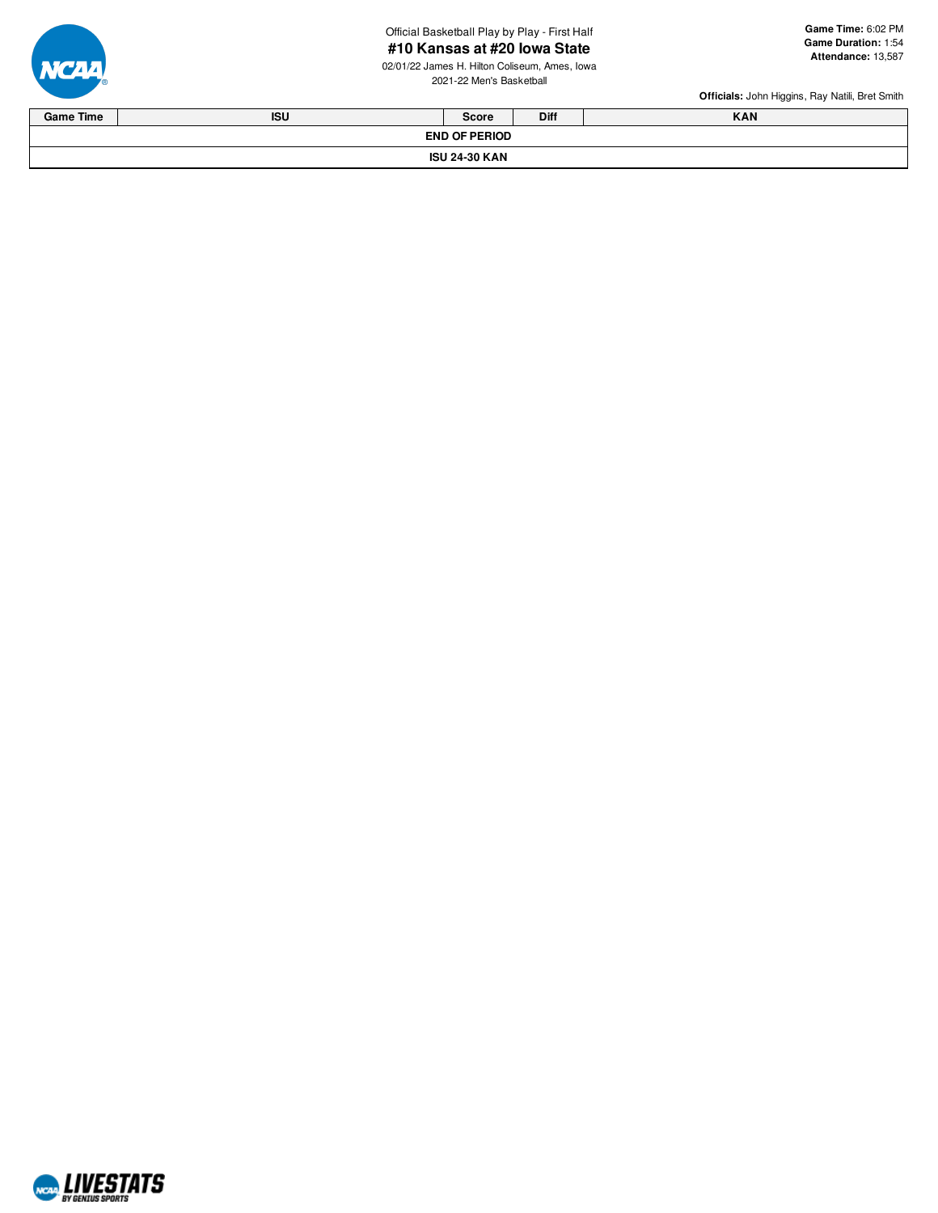Official Basketball Play by Play - First Half

# **# 1 0 K a n s a s a t # 2 0 Io w a S t a t e** all **<sup>G</sup>**

02/01/22 James H. Hilton Coliseum, Ames, Iowa 2021-22 Men's Basketba



| <b>Diff</b><br><b>KAN</b><br><b>Game Time</b><br><b>ISU</b><br>Score |  |  |  |  |  |  |  |  |
|----------------------------------------------------------------------|--|--|--|--|--|--|--|--|
| <b>END OF PERIOD</b>                                                 |  |  |  |  |  |  |  |  |
| <b>ISU 24-30 KAN</b>                                                 |  |  |  |  |  |  |  |  |

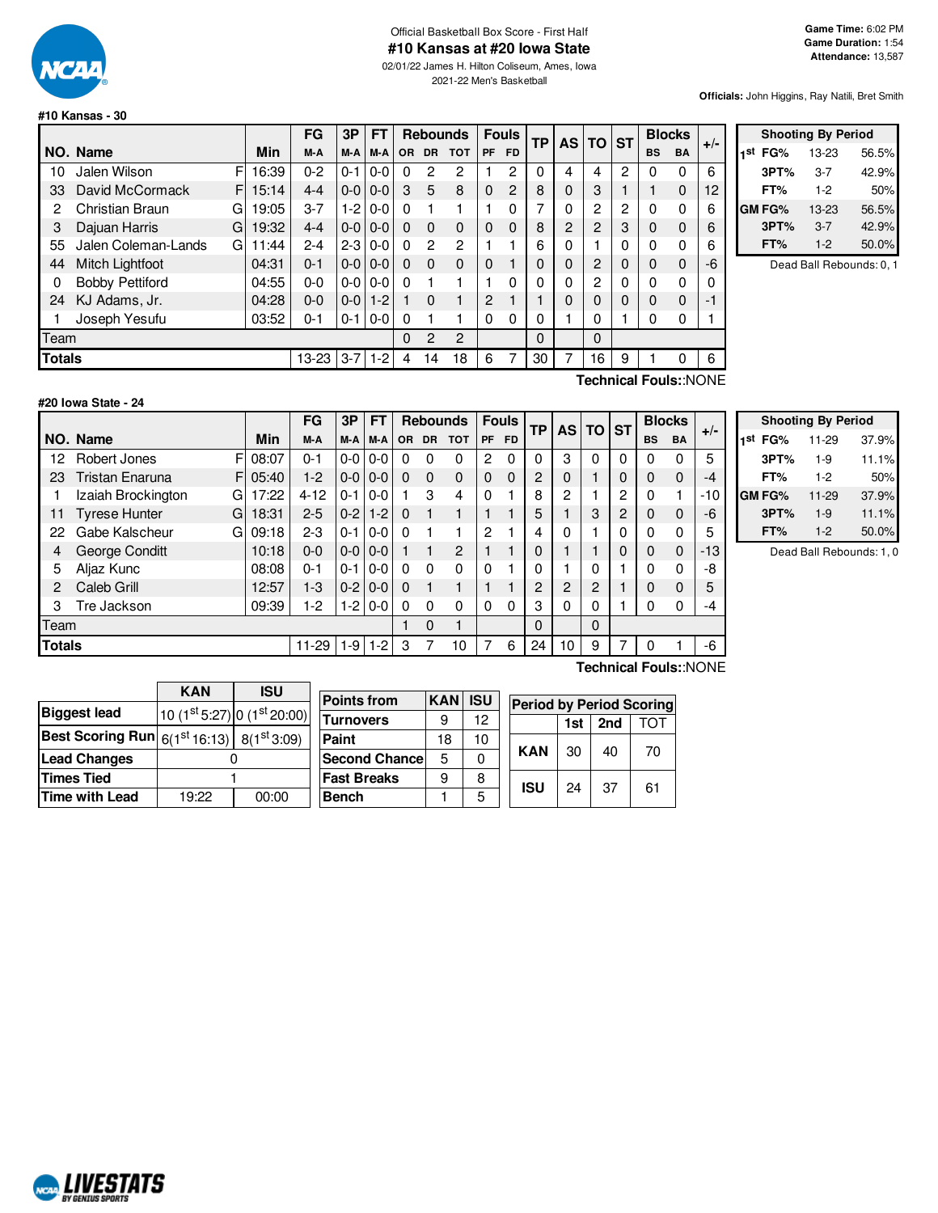

## Official Basketball Box Score - First Half **#10 Kansas at #20 Iowa State**

02/01/22 James H. Hilton Coliseum, Ames, Iowa 2021-22 Men's Basketball

**Officials:** John Higgins, Ray Natili, Bret Smith

| #10 Kansas - 30 |  |  |
|-----------------|--|--|
|                 |  |  |

|               |                        |    |       | FG      | 3P      | FT      |          | <b>Rebounds</b> |                |                | <b>Fouls</b>   | <b>TP</b> | AS I | <b>TO</b>      | <b>ST</b> |             | <b>Blocks</b> | $+/-$ |
|---------------|------------------------|----|-------|---------|---------|---------|----------|-----------------|----------------|----------------|----------------|-----------|------|----------------|-----------|-------------|---------------|-------|
|               | NO. Name               |    | Min   | M-A     | M-A     | M-A     | OR.      | <b>DR</b>       | <b>TOT</b>     | <b>PF</b>      | <b>FD</b>      |           |      |                |           | <b>BS</b>   | <b>BA</b>     |       |
| 10            | Jalen Wilson           | F  | 16:39 | $0 - 2$ | $0 - 1$ | $0 - 0$ | $\Omega$ | 2               | 2              |                | 2              | 0         | 4    | 4              | 2         | 0           | 0             | 6     |
| 33            | David McCormack        | FI | 15:14 | $4 - 4$ | $0-0$   | $0 - 0$ | 3        | 5               | 8              | $\Omega$       | $\overline{2}$ | 8         | 0    | 3              |           |             | $\Omega$      | 12    |
| 2             | Christian Braun        | G  | 19:05 | $3 - 7$ | $1 - 2$ | $0 - 0$ | $\Omega$ |                 |                |                | 0              | 7         | 0    | 2              | 2         | 0           | 0             | 6     |
| 3             | Dajuan Harris          | G  | 19:32 | $4 - 4$ | $0-0$   | $0 - 0$ | $\Omega$ | $\Omega$        | $\mathbf{0}$   | $\Omega$       | 0              | 8         | 2    | $\overline{2}$ | 3         | $\mathbf 0$ | $\Omega$      | 6     |
| 55            | Jalen Coleman-Lands    | G. | 11:44 | $2 - 4$ | $2 - 3$ | $0 - 0$ | $\Omega$ | $\overline{2}$  | 2              |                |                | 6         | 0    |                | 0         | 0           | 0             | 6     |
| 44            | <b>Mitch Lightfoot</b> |    | 04:31 | $0 - 1$ | $0-0$   | $0 - 0$ | $\Omega$ | $\Omega$        | $\mathbf{0}$   | $\mathbf 0$    |                | $\Omega$  | 0    | $\overline{2}$ | 0         | 0           | $\Omega$      | -6    |
| 0             | <b>Bobby Pettiford</b> |    | 04:55 | $0 - 0$ | $0-0$   | $0 - 0$ | $\Omega$ |                 |                |                | 0              | 0         | 0    | $\overline{2}$ | 0         | 0           | $\Omega$      | 0     |
| 24            | KJ Adams, Jr.          |    | 04:28 | $0 - 0$ | $0-0$   | $1 - 2$ |          | $\Omega$        |                | $\overline{2}$ |                |           | 0    | 0              | 0         | $\mathbf 0$ | $\Omega$      | -1    |
|               | Joseph Yesufu          |    | 03:52 | 0-1     | $0 - 1$ | $0 - 0$ | 0        |                 |                | 0              | 0              | 0         |      | 0              |           | 0           | 0             |       |
| Team          |                        |    |       |         |         |         | $\Omega$ | 2               | $\mathfrak{p}$ |                |                | 0         |      | 0              |           |             |               |       |
| <b>Totals</b> |                        |    |       | 13-23   | $3 - 7$ | $1 - 2$ | 4        | 14              | 18             | 6              | 7              | 30        | 7    | 16             | 9         |             |               | 6     |

|     | <b>Shooting By Period</b> |           |       |  |  |  |  |  |  |  |  |  |  |
|-----|---------------------------|-----------|-------|--|--|--|--|--|--|--|--|--|--|
| 1st | FG%                       | $13 - 23$ | 56.5% |  |  |  |  |  |  |  |  |  |  |
|     | 3PT%                      | $3 - 7$   | 42.9% |  |  |  |  |  |  |  |  |  |  |
|     | FT%                       | $1-2$     | 50%   |  |  |  |  |  |  |  |  |  |  |
|     | GM FG%                    | 13-23     | 56.5% |  |  |  |  |  |  |  |  |  |  |
|     | 3PT%                      | $3 - 7$   | 42.9% |  |  |  |  |  |  |  |  |  |  |
|     | FT%                       | $1-2$     | 50.0% |  |  |  |  |  |  |  |  |  |  |

Dead Ball Rebounds: 0, 1

|  | #20 Iowa State - 24 |  |
|--|---------------------|--|
|  |                     |  |

**Technical Fouls:**:NONE

|        |                           |            | FG        | 3P      | FT      |           |           | <b>Rebounds</b> |             | <b>Fouls</b> | TP             | <b>AS</b>      | <b>TO</b> | <b>ST</b> |             | <b>Blocks</b> |                       |
|--------|---------------------------|------------|-----------|---------|---------|-----------|-----------|-----------------|-------------|--------------|----------------|----------------|-----------|-----------|-------------|---------------|-----------------------|
|        | NO. Name                  | Min        | M-A       | M-A     | M-A     | <b>OR</b> | <b>DR</b> | <b>TOT</b>      | <b>PF</b>   | <b>FD</b>    |                |                |           |           | <b>BS</b>   | <b>BA</b>     | $+/-$                 |
| 12     | Robert Jones              | F<br>08:07 | $0 - 1$   | $0-0$   | $0-0$   | 0         | 0         | $\Omega$        | 2           | 0            | 0              | 3              | 0         | 0         | 0           | 0             | 5                     |
| 23     | Tristan Enaruna           | F<br>05:40 | $1-2$     | $0-0$   | $0 - 0$ | $\Omega$  | $\Omega$  | $\Omega$        | $\mathbf 0$ | 0            | $\overline{2}$ | 0              |           | 0         | $\mathbf 0$ | 0             | -4                    |
|        | Izaiah Brockington<br>G   | 17:22      | $4 - 12$  | $0 - 1$ | $0 - 0$ |           | 3         | 4               | 0           |              | 8              | 2              |           | 2         | 0           |               | $-10$                 |
| 11     | <b>Tyrese Hunter</b><br>G | 18:31      | $2 - 5$   | $0 - 2$ | $1 - 2$ | $\Omega$  |           |                 |             |              | 5              |                | 3         | 2         | 0           | 0             | $-6$                  |
| 22     | Gabe Kalscheur<br>G       | 09:18      | $2 - 3$   | $0 - 1$ | $0 - 0$ | $\Omega$  |           |                 | 2           |              | 4              | 0              |           | 0         | 0           | 0             | 5                     |
| 4      | George Conditt            | 10:18      | $0 - 0$   | $0-0$   | $0 - 0$ |           |           | $\overline{c}$  |             |              | 0              |                |           | 0         | 0           | 0             | -13                   |
| 5      | Aljaz Kunc                | 08:08      | $0 - 1$   | $0 - 1$ | $0 - 0$ | 0         | 0         | $\Omega$        | $\Omega$    |              | 0              |                | 0         |           | 0           | 0             | -8                    |
| 2      | Caleb Grill               | 12:57      | $1 - 3$   | $0-2$   | $0 - 0$ | $\Omega$  |           |                 |             |              | 2              | $\overline{2}$ | 2         |           | 0           | 0             | 5                     |
| 3      | Tre Jackson               | 09:39      | $1-2$     | $1-2$   | $0 - 0$ | 0         | 0         | $\Omega$        | 0           | 0            | 3              | 0              | 0         |           | 0           | 0             | -4                    |
| Team   |                           |            |           |         |         |           | 0         |                 |             |              | 0              |                | 0         |           |             |               |                       |
| Totals |                           |            | $11 - 29$ | $1-9$   | $1 - 2$ | 3         |           | 10              |             | 6            | 24             | 10             | 9         | 7         | 0           |               | -6                    |
|        |                           |            |           |         |         |           |           |                 |             |              |                |                |           |           |             |               | Technical Fouls::NONE |

|               | <b>Shooting By Period</b> |       |
|---------------|---------------------------|-------|
| 1st<br>FG%    | 11-29                     | 37.9% |
| 3PT%          | $1-9$                     | 11.1% |
| FT%           | $1-2$                     | 50%   |
| <b>GM FG%</b> | 11-29                     | 37.9% |
| 3PT%          | $1 - 9$                   | 11.1% |
| FT%           | $1-2$                     | 50.0% |

Dead Ball Rebounds: 1, 0

|                                                      | <b>KAN</b> | <b>ISU</b> |                      |                |    |                                 |     |     |     |
|------------------------------------------------------|------------|------------|----------------------|----------------|----|---------------------------------|-----|-----|-----|
|                                                      |            |            | <b>Points from</b>   | <b>KAN ISU</b> |    | <b>Period by Period Scoring</b> |     |     |     |
| <b>Biggest lead</b><br>$10(1st 5:27) 0(1st 20:00)$   |            |            |                      |                |    |                                 |     |     |     |
|                                                      |            |            | <b>Turnovers</b>     | 9              | 12 |                                 | 1st | 2nd | гот |
| <b>Best Scoring Run</b> $6(1^{st}16:13)$ 8(1st 3:09) |            |            | Paint                | 18             | 10 |                                 |     |     |     |
| <b>Lead Changes</b>                                  |            |            | <b>Second Chance</b> | 5              |    | <b>KAN</b>                      | 30  | 40  | 70  |
| <b>Times Tied</b>                                    |            |            | <b>Fast Breaks</b>   | 9              | 8  | <b>ISU</b>                      | 24  | 37  | 61  |
| <b>Time with Lead</b>                                | 19:22      | 00:00      | <b>Bench</b>         |                | 5  |                                 |     |     |     |

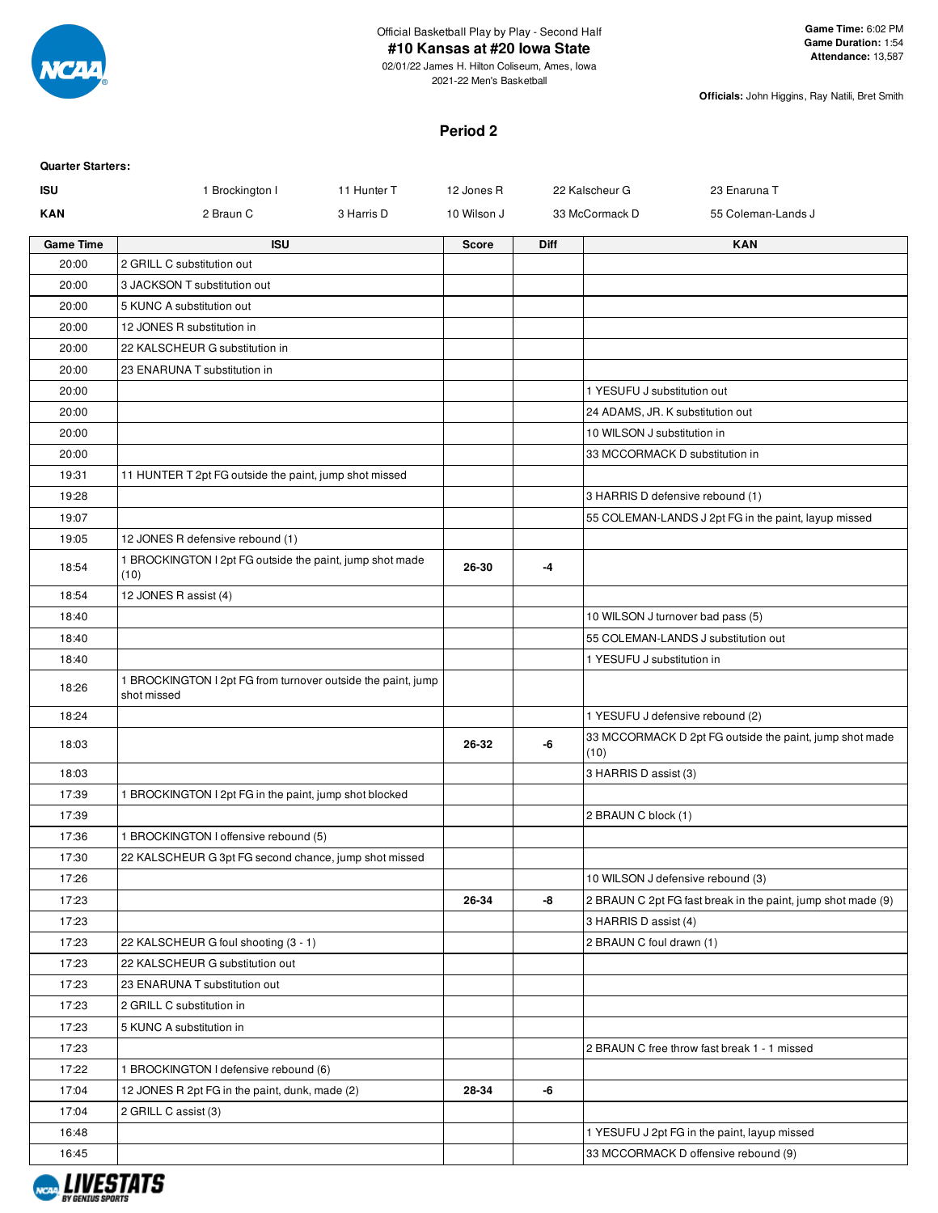

Official Basketball Play by Play - Second Half

#### **#10 Kansas at #20 Iowa State**

02/01/22 James H. Hilton Coliseum, Ames, Iowa 2021-22 Men's Basketball

**Officials:** John Higgins, Ray Natili, Bret Smith

#### **Period 2**

| <b>Quarter Starters:</b> |                                                                             |              |      |                                                                 |
|--------------------------|-----------------------------------------------------------------------------|--------------|------|-----------------------------------------------------------------|
| <b>ISU</b>               | 1 Brockington I<br>11 Hunter T                                              | 12 Jones R   |      | 22 Kalscheur G<br>23 Enaruna T                                  |
| <b>KAN</b>               | 2 Braun C<br>3 Harris D                                                     | 10 Wilson J  |      | 33 McCormack D<br>55 Coleman-Lands J                            |
| <b>Game Time</b>         | <b>ISU</b>                                                                  | <b>Score</b> | Diff | <b>KAN</b>                                                      |
| 20:00                    | 2 GRILL C substitution out                                                  |              |      |                                                                 |
| 20:00                    | 3 JACKSON T substitution out                                                |              |      |                                                                 |
| 20:00                    | 5 KUNC A substitution out                                                   |              |      |                                                                 |
| 20:00                    | 12 JONES R substitution in                                                  |              |      |                                                                 |
| 20:00                    | 22 KALSCHEUR G substitution in                                              |              |      |                                                                 |
| 20:00                    | 23 ENARUNA T substitution in                                                |              |      |                                                                 |
| 20:00                    |                                                                             |              |      | 1 YESUFU J substitution out                                     |
| 20:00                    |                                                                             |              |      | 24 ADAMS, JR. K substitution out                                |
| 20:00                    |                                                                             |              |      | 10 WILSON J substitution in                                     |
| 20:00                    |                                                                             |              |      | 33 MCCORMACK D substitution in                                  |
| 19:31                    | 11 HUNTER T 2pt FG outside the paint, jump shot missed                      |              |      |                                                                 |
| 19:28                    |                                                                             |              |      | 3 HARRIS D defensive rebound (1)                                |
| 19:07                    |                                                                             |              |      | 55 COLEMAN-LANDS J 2pt FG in the paint, layup missed            |
| 19:05                    | 12 JONES R defensive rebound (1)                                            |              |      |                                                                 |
| 18:54                    | 1 BROCKINGTON I 2pt FG outside the paint, jump shot made<br>(10)            | 26-30        | -4   |                                                                 |
| 18:54                    | 12 JONES R assist (4)                                                       |              |      |                                                                 |
| 18:40                    |                                                                             |              |      | 10 WILSON J turnover bad pass (5)                               |
| 18:40                    |                                                                             |              |      | 55 COLEMAN-LANDS J substitution out                             |
| 18:40                    |                                                                             |              |      | 1 YESUFU J substitution in                                      |
| 18:26                    | 1 BROCKINGTON I 2pt FG from turnover outside the paint, jump<br>shot missed |              |      |                                                                 |
| 18:24                    |                                                                             |              |      | 1 YESUFU J defensive rebound (2)                                |
| 18:03                    |                                                                             | 26-32        | -6   | 33 MCCORMACK D 2pt FG outside the paint, jump shot made<br>(10) |
| 18:03                    |                                                                             |              |      | 3 HARRIS D assist (3)                                           |
| 17:39                    | 1 BROCKINGTON I 2pt FG in the paint, jump shot blocked                      |              |      |                                                                 |
| 17:39                    |                                                                             |              |      | 2 BRAUN C block (1)                                             |
| 17:36                    | 1 BROCKINGTON I offensive rebound (5)                                       |              |      |                                                                 |
| 17:30                    | 22 KALSCHEUR G 3pt FG second chance, jump shot missed                       |              |      |                                                                 |
| 17:26                    |                                                                             |              |      | 10 WILSON J defensive rebound (3)                               |
| 17:23                    |                                                                             | 26-34        | -8   | 2 BRAUN C 2pt FG fast break in the paint, jump shot made (9)    |
| 17:23                    |                                                                             |              |      | 3 HARRIS D assist (4)                                           |
| 17:23                    | 22 KALSCHEUR G foul shooting (3 - 1)                                        |              |      | 2 BRAUN C foul drawn (1)                                        |
| 17:23                    | 22 KALSCHEUR G substitution out                                             |              |      |                                                                 |
| 17:23                    | 23 ENARUNA T substitution out                                               |              |      |                                                                 |
| 17:23                    | 2 GRILL C substitution in                                                   |              |      |                                                                 |
| 17:23                    | 5 KUNC A substitution in                                                    |              |      |                                                                 |
| 17:23                    |                                                                             |              |      | 2 BRAUN C free throw fast break 1 - 1 missed                    |
| 17:22                    | 1 BROCKINGTON I defensive rebound (6)                                       |              |      |                                                                 |
| 17:04                    | 12 JONES R 2pt FG in the paint, dunk, made (2)                              | 28-34        | -6   |                                                                 |
| 17:04                    | 2 GRILL C assist (3)                                                        |              |      |                                                                 |
| 16:48                    |                                                                             |              |      | 1 YESUFU J 2pt FG in the paint, layup missed                    |
| 16:45                    |                                                                             |              |      | 33 MCCORMACK D offensive rebound (9)                            |

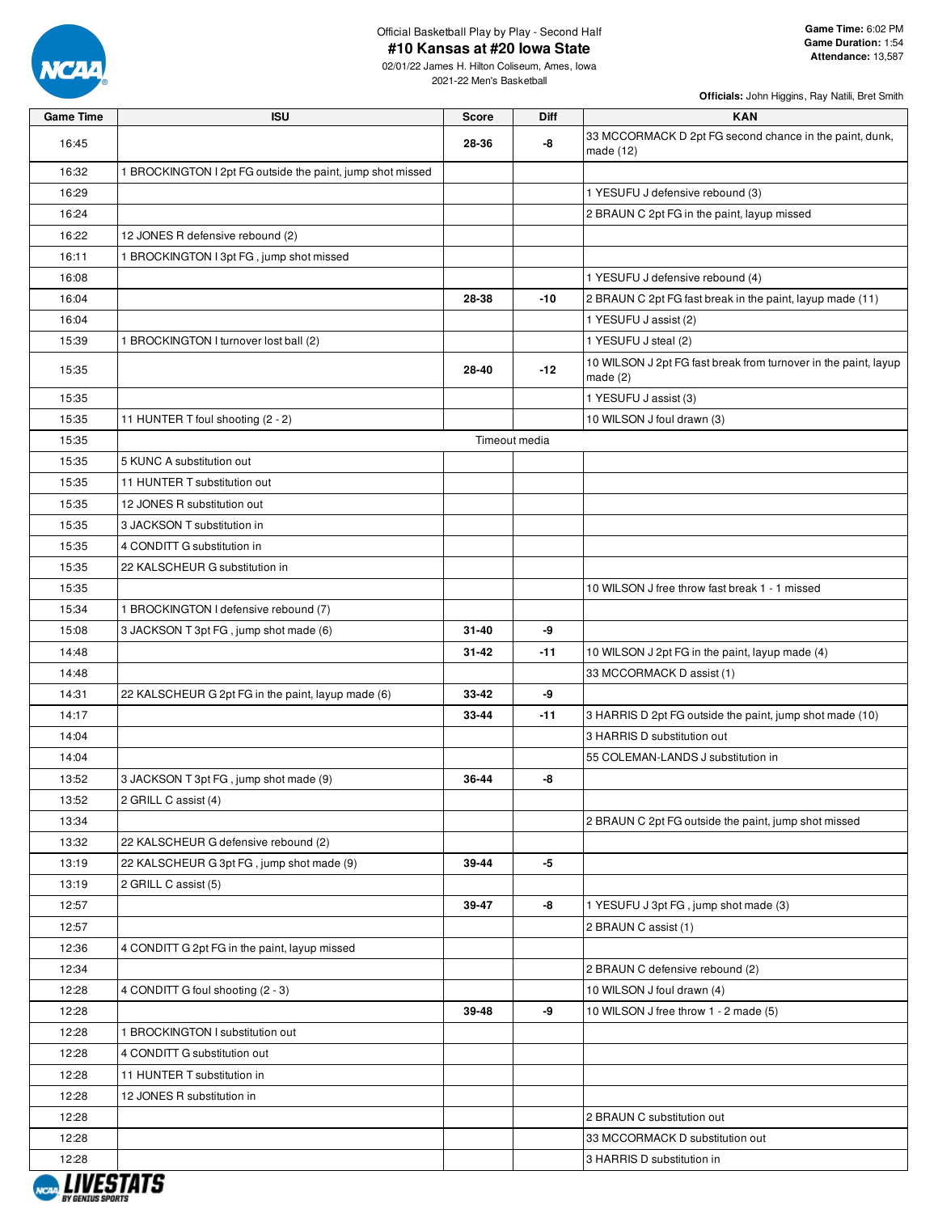

Official Basketball Play by Play - Second Half

#### **#10 Kansas at #20 Iowa State**

02/01/22 James H. Hilton Coliseum, Ames, Iowa 2021-22 Men's Basketball

| <b>Game Time</b>       | <b>ISU</b>                                                 | <b>Score</b> | <b>Diff</b>   | <b>KAN</b>                                                                    |
|------------------------|------------------------------------------------------------|--------------|---------------|-------------------------------------------------------------------------------|
| 16:45                  |                                                            | 28-36        | -8            | 33 MCCORMACK D 2pt FG second chance in the paint, dunk,<br>made (12)          |
| 16:32                  | 1 BROCKINGTON I 2pt FG outside the paint, jump shot missed |              |               |                                                                               |
| 16:29                  |                                                            |              |               | 1 YESUFU J defensive rebound (3)                                              |
| 16:24                  |                                                            |              |               | 2 BRAUN C 2pt FG in the paint, layup missed                                   |
| 16:22                  | 12 JONES R defensive rebound (2)                           |              |               |                                                                               |
| 16:11                  | 1 BROCKINGTON I 3pt FG, jump shot missed                   |              |               |                                                                               |
| 16:08                  |                                                            |              |               | 1 YESUFU J defensive rebound (4)                                              |
| 16:04                  |                                                            | 28-38        | $-10$         | 2 BRAUN C 2pt FG fast break in the paint, layup made (11)                     |
| 16:04                  |                                                            |              |               | 1 YESUFU J assist (2)                                                         |
| 15:39                  | 1 BROCKINGTON I turnover lost ball (2)                     |              |               | 1 YESUFU J steal (2)                                                          |
| 15:35                  |                                                            | 28-40        | $-12$         | 10 WILSON J 2pt FG fast break from turnover in the paint, layup<br>made $(2)$ |
| 15:35                  |                                                            |              |               | 1 YESUFU J assist (3)                                                         |
| 15:35                  | 11 HUNTER T foul shooting (2 - 2)                          |              |               | 10 WILSON J foul drawn (3)                                                    |
| 15:35                  |                                                            |              | Timeout media |                                                                               |
| 15:35                  | 5 KUNC A substitution out                                  |              |               |                                                                               |
| 15:35                  | 11 HUNTER T substitution out                               |              |               |                                                                               |
| 15:35                  | 12 JONES R substitution out                                |              |               |                                                                               |
| 15:35                  | 3 JACKSON T substitution in                                |              |               |                                                                               |
| 15:35                  | 4 CONDITT G substitution in                                |              |               |                                                                               |
| 15:35                  | 22 KALSCHEUR G substitution in                             |              |               |                                                                               |
| 15:35                  |                                                            |              |               | 10 WILSON J free throw fast break 1 - 1 missed                                |
| 15:34                  | 1 BROCKINGTON I defensive rebound (7)                      |              |               |                                                                               |
| 15:08                  | 3 JACKSON T 3pt FG, jump shot made (6)                     | 31-40        | -9            |                                                                               |
| 14:48                  |                                                            | $31 - 42$    | $-11$         | 10 WILSON J 2pt FG in the paint, layup made (4)                               |
| 14:48                  |                                                            |              |               | 33 MCCORMACK D assist (1)                                                     |
| 14:31                  | 22 KALSCHEUR G 2pt FG in the paint, layup made (6)         | 33-42        | -9            |                                                                               |
| 14:17                  |                                                            | 33-44        | $-11$         | 3 HARRIS D 2pt FG outside the paint, jump shot made (10)                      |
| 14:04                  |                                                            |              |               | 3 HARRIS D substitution out                                                   |
| 14:04                  |                                                            |              |               | 55 COLEMAN-LANDS J substitution in                                            |
| 13:52                  | 3 JACKSON T 3pt FG, jump shot made (9)                     | 36-44        | -8            |                                                                               |
| 13:52                  | 2 GRILL C assist (4)                                       |              |               |                                                                               |
| 13:34                  |                                                            |              |               | 2 BRAUN C 2pt FG outside the paint, jump shot missed                          |
| 13:32                  | 22 KALSCHEUR G defensive rebound (2)                       |              |               |                                                                               |
| 13:19                  | 22 KALSCHEUR G 3pt FG, jump shot made (9)                  | 39-44        | -5            |                                                                               |
| 13:19                  | 2 GRILL C assist (5)                                       |              |               |                                                                               |
| 12:57                  |                                                            | 39-47        | -8            | 1 YESUFU J 3pt FG, jump shot made (3)                                         |
| 12:57                  |                                                            |              |               | 2 BRAUN C assist (1)                                                          |
| 12:36                  | 4 CONDITT G 2pt FG in the paint, layup missed              |              |               |                                                                               |
| 12:34                  |                                                            |              |               | 2 BRAUN C defensive rebound (2)                                               |
| 12:28                  | 4 CONDITT G foul shooting (2 - 3)                          |              |               | 10 WILSON J foul drawn (4)                                                    |
| 12:28                  |                                                            | 39-48        | -9            | 10 WILSON J free throw 1 - 2 made (5)                                         |
| 12:28                  | 1 BROCKINGTON I substitution out                           |              |               |                                                                               |
| 12:28                  | 4 CONDITT G substitution out                               |              |               |                                                                               |
| 12:28                  | 11 HUNTER T substitution in                                |              |               |                                                                               |
| 12:28                  | 12 JONES R substitution in                                 |              |               |                                                                               |
| 12:28                  |                                                            |              |               | 2 BRAUN C substitution out                                                    |
| 12:28                  |                                                            |              |               | 33 MCCORMACK D substitution out                                               |
| 12:28<br>, ,,,,,,,,,,, |                                                            |              |               | 3 HARRIS D substitution in                                                    |

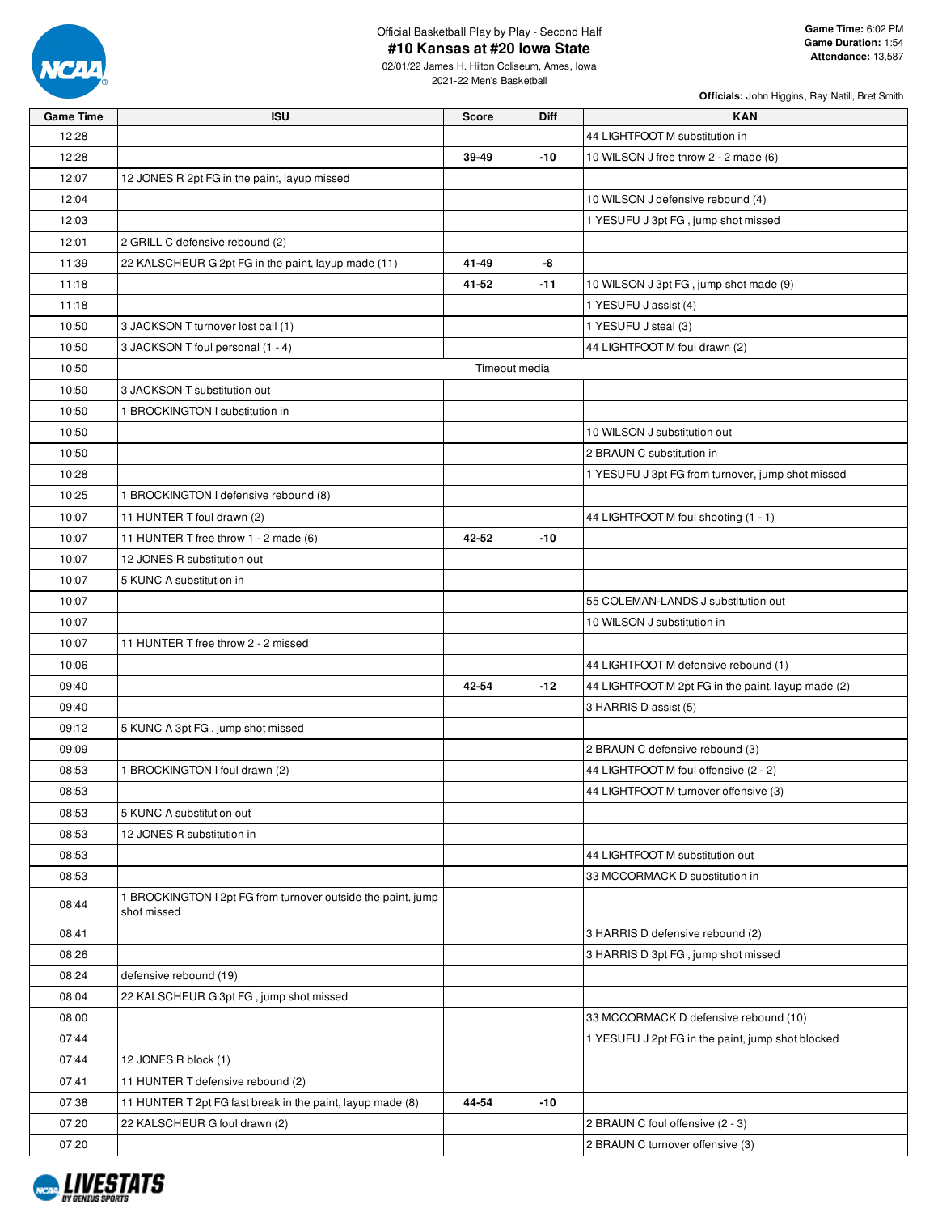

02/01/22 James H. Hilton Coliseum, Ames, Iowa 2021-22 Men's Basketball

| <b>Game Time</b> | <b>ISU</b>                                                                  | <b>Score</b> | Diff          | <b>KAN</b>                                         |
|------------------|-----------------------------------------------------------------------------|--------------|---------------|----------------------------------------------------|
| 12:28            |                                                                             |              |               | 44 LIGHTFOOT M substitution in                     |
| 12:28            |                                                                             | 39-49        | -10           | 10 WILSON J free throw 2 - 2 made (6)              |
| 12:07            | 12 JONES R 2pt FG in the paint, layup missed                                |              |               |                                                    |
| 12:04            |                                                                             |              |               | 10 WILSON J defensive rebound (4)                  |
| 12:03            |                                                                             |              |               | 1 YESUFU J 3pt FG, jump shot missed                |
| 12:01            | 2 GRILL C defensive rebound (2)                                             |              |               |                                                    |
| 11:39            | 22 KALSCHEUR G 2pt FG in the paint, layup made (11)                         | 41-49        | -8            |                                                    |
| 11:18            |                                                                             | 41-52        | -11           | 10 WILSON J 3pt FG, jump shot made (9)             |
| 11:18            |                                                                             |              |               | 1 YESUFU J assist (4)                              |
| 10:50            | 3 JACKSON T turnover lost ball (1)                                          |              |               | 1 YESUFU J steal (3)                               |
| 10:50            | 3 JACKSON T foul personal (1 - 4)                                           |              |               | 44 LIGHTFOOT M foul drawn (2)                      |
| 10:50            |                                                                             |              | Timeout media |                                                    |
| 10:50            | 3 JACKSON T substitution out                                                |              |               |                                                    |
| 10:50            | 1 BROCKINGTON I substitution in                                             |              |               |                                                    |
| 10:50            |                                                                             |              |               | 10 WILSON J substitution out                       |
| 10:50            |                                                                             |              |               | 2 BRAUN C substitution in                          |
| 10:28            |                                                                             |              |               | 1 YESUFU J 3pt FG from turnover, jump shot missed  |
| 10:25            | 1 BROCKINGTON I defensive rebound (8)                                       |              |               |                                                    |
| 10:07            | 11 HUNTER T foul drawn (2)                                                  |              |               | 44 LIGHTFOOT M foul shooting (1 - 1)               |
| 10:07            | 11 HUNTER T free throw 1 - 2 made (6)                                       | 42-52        | $-10$         |                                                    |
| 10:07            | 12 JONES R substitution out                                                 |              |               |                                                    |
| 10:07            | 5 KUNC A substitution in                                                    |              |               |                                                    |
| 10:07            |                                                                             |              |               | 55 COLEMAN-LANDS J substitution out                |
| 10:07            |                                                                             |              |               | 10 WILSON J substitution in                        |
| 10:07            | 11 HUNTER T free throw 2 - 2 missed                                         |              |               |                                                    |
| 10:06            |                                                                             |              |               | 44 LIGHTFOOT M defensive rebound (1)               |
| 09:40            |                                                                             | 42-54        | $-12$         | 44 LIGHTFOOT M 2pt FG in the paint, layup made (2) |
| 09:40            |                                                                             |              |               | 3 HARRIS D assist (5)                              |
| 09:12            | 5 KUNC A 3pt FG, jump shot missed                                           |              |               |                                                    |
| 09:09            |                                                                             |              |               | 2 BRAUN C defensive rebound (3)                    |
| 08:53            | 1 BROCKINGTON I foul drawn (2)                                              |              |               | 44 LIGHTFOOT M foul offensive (2 - 2)              |
| 08:53            |                                                                             |              |               | 44 LIGHTFOOT M turnover offensive (3)              |
| 08:53            | 5 KUNC A substitution out                                                   |              |               |                                                    |
| 08:53            | 12 JONES R substitution in                                                  |              |               |                                                    |
| 08:53            |                                                                             |              |               | 44 LIGHTFOOT M substitution out                    |
| 08:53            |                                                                             |              |               | 33 MCCORMACK D substitution in                     |
| 08:44            | 1 BROCKINGTON I 2pt FG from turnover outside the paint, jump<br>shot missed |              |               |                                                    |
| 08:41            |                                                                             |              |               | 3 HARRIS D defensive rebound (2)                   |
| 08:26            |                                                                             |              |               | 3 HARRIS D 3pt FG, jump shot missed                |
| 08:24            | defensive rebound (19)                                                      |              |               |                                                    |
| 08:04            | 22 KALSCHEUR G 3pt FG, jump shot missed                                     |              |               |                                                    |
| 08:00            |                                                                             |              |               | 33 MCCORMACK D defensive rebound (10)              |
| 07:44            |                                                                             |              |               | 1 YESUFU J 2pt FG in the paint, jump shot blocked  |
| 07:44            | 12 JONES R block (1)                                                        |              |               |                                                    |
| 07:41            | 11 HUNTER T defensive rebound (2)                                           |              |               |                                                    |
| 07:38            | 11 HUNTER T 2pt FG fast break in the paint, layup made (8)                  | 44-54        | -10           |                                                    |
| 07:20            | 22 KALSCHEUR G foul drawn (2)                                               |              |               | 2 BRAUN C foul offensive (2 - 3)                   |
|                  |                                                                             |              |               | 2 BRAUN C turnover offensive (3)                   |
| 07:20            |                                                                             |              |               |                                                    |

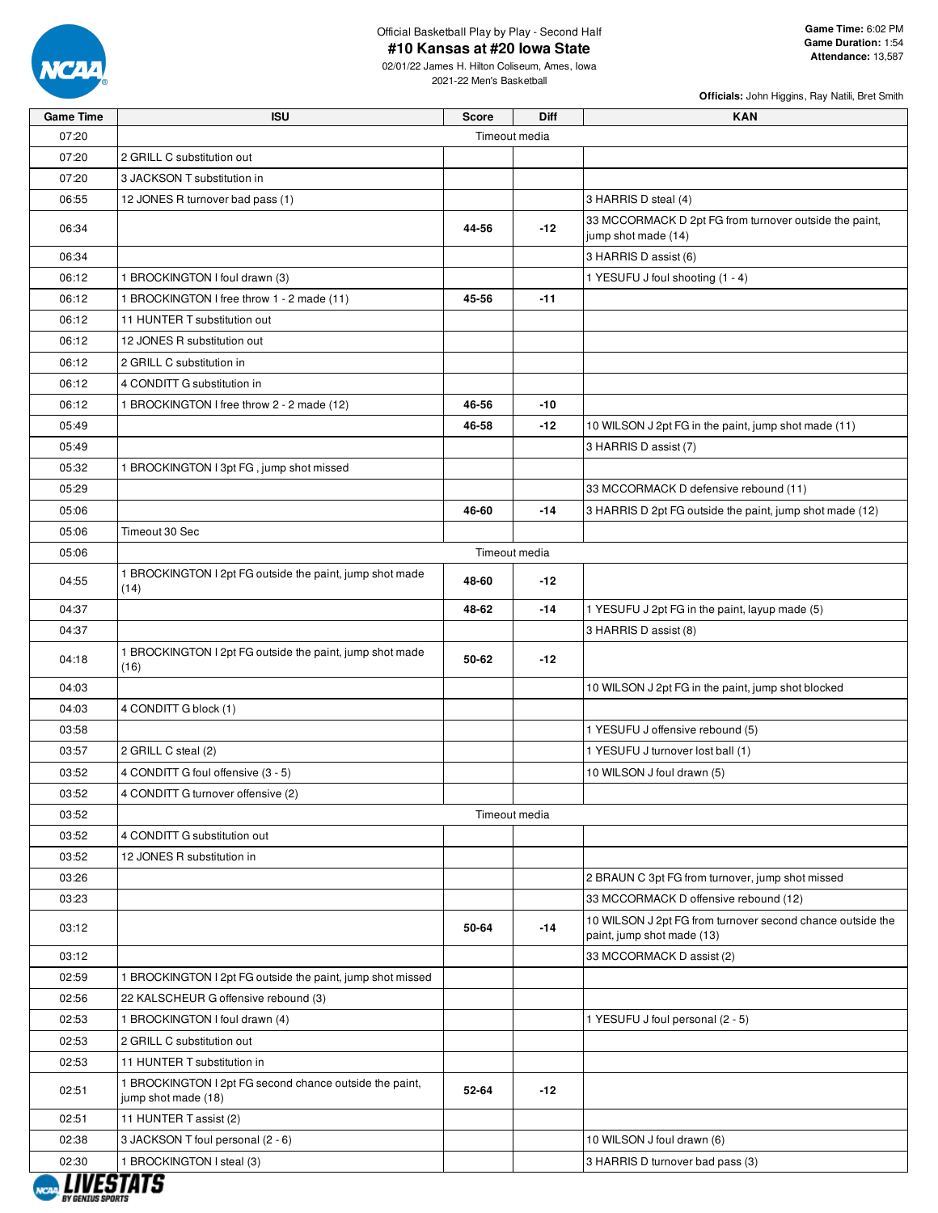

Official Basketball Play by Play - Second Half

#### **#10 Kansas at #20 Iowa State**

02/01/22 James H. Hilton Coliseum, Ames, Iowa 2021-22 Men's Basketball

| <b>Game Time</b> | <b>ISU</b>                                                                     | <b>Score</b>  | <b>Diff</b> | <b>KAN</b>                                                                               |
|------------------|--------------------------------------------------------------------------------|---------------|-------------|------------------------------------------------------------------------------------------|
| 07:20            |                                                                                | Timeout media |             |                                                                                          |
| 07:20            | 2 GRILL C substitution out                                                     |               |             |                                                                                          |
| 07:20            | 3 JACKSON T substitution in                                                    |               |             |                                                                                          |
| 06:55            | 12 JONES R turnover bad pass (1)                                               |               |             | 3 HARRIS D steal (4)                                                                     |
| 06:34            |                                                                                | 44-56         | $-12$       | 33 MCCORMACK D 2pt FG from turnover outside the paint,<br>jump shot made (14)            |
| 06:34            |                                                                                |               |             | 3 HARRIS D assist (6)                                                                    |
| 06:12            | 1 BROCKINGTON I foul drawn (3)                                                 |               |             | 1 YESUFU J foul shooting (1 - 4)                                                         |
| 06:12            | 1 BROCKINGTON I free throw 1 - 2 made (11)                                     | 45-56         | $-11$       |                                                                                          |
| 06:12            | 11 HUNTER T substitution out                                                   |               |             |                                                                                          |
| 06:12            | 12 JONES R substitution out                                                    |               |             |                                                                                          |
| 06:12            | 2 GRILL C substitution in                                                      |               |             |                                                                                          |
| 06:12            | 4 CONDITT G substitution in                                                    |               |             |                                                                                          |
| 06:12            | 1 BROCKINGTON I free throw 2 - 2 made (12)                                     | 46-56         | -10         |                                                                                          |
| 05:49            |                                                                                | 46-58         | $-12$       | 10 WILSON J 2pt FG in the paint, jump shot made (11)                                     |
| 05:49            |                                                                                |               |             | 3 HARRIS D assist (7)                                                                    |
| 05:32            | 1 BROCKINGTON I 3pt FG, jump shot missed                                       |               |             |                                                                                          |
| 05:29            |                                                                                |               |             | 33 MCCORMACK D defensive rebound (11)                                                    |
| 05:06            |                                                                                | 46-60         | $-14$       | 3 HARRIS D 2pt FG outside the paint, jump shot made (12)                                 |
| 05:06            | Timeout 30 Sec                                                                 |               |             |                                                                                          |
| 05:06            |                                                                                | Timeout media |             |                                                                                          |
| 04:55            | 1 BROCKINGTON I 2pt FG outside the paint, jump shot made<br>(14)               | 48-60         | $-12$       |                                                                                          |
| 04:37            |                                                                                | 48-62         | $-14$       | 1 YESUFU J 2pt FG in the paint, layup made (5)                                           |
| 04:37            |                                                                                |               |             | 3 HARRIS D assist (8)                                                                    |
| 04:18            | 1 BROCKINGTON I 2pt FG outside the paint, jump shot made<br>(16)               | 50-62         | $-12$       |                                                                                          |
| 04:03            |                                                                                |               |             | 10 WILSON J 2pt FG in the paint, jump shot blocked                                       |
| 04:03            | 4 CONDITT G block (1)                                                          |               |             |                                                                                          |
| 03:58            |                                                                                |               |             | 1 YESUFU J offensive rebound (5)                                                         |
| 03:57            | 2 GRILL C steal (2)                                                            |               |             | 1 YESUFU J turnover lost ball (1)                                                        |
| 03:52            | 4 CONDITT G foul offensive (3 - 5)                                             |               |             | 10 WILSON J foul drawn (5)                                                               |
| 03:52            | 4 CONDITT G turnover offensive (2)                                             |               |             |                                                                                          |
| 03:52            |                                                                                | Timeout media |             |                                                                                          |
| 03:52            | 4 CONDITT G substitution out                                                   |               |             |                                                                                          |
| 03:52            | 12 JONES R substitution in                                                     |               |             |                                                                                          |
| 03:26            |                                                                                |               |             | 2 BRAUN C 3pt FG from turnover, jump shot missed                                         |
| 03:23            |                                                                                |               |             | 33 MCCORMACK D offensive rebound (12)                                                    |
| 03:12            |                                                                                | 50-64         | $-14$       | 10 WILSON J 2pt FG from turnover second chance outside the<br>paint, jump shot made (13) |
| 03:12            |                                                                                |               |             | 33 MCCORMACK D assist (2)                                                                |
| 02:59            | 1 BROCKINGTON I 2pt FG outside the paint, jump shot missed                     |               |             |                                                                                          |
| 02:56            | 22 KALSCHEUR G offensive rebound (3)                                           |               |             |                                                                                          |
| 02:53            | 1 BROCKINGTON I foul drawn (4)                                                 |               |             | 1 YESUFU J foul personal (2 - 5)                                                         |
| 02:53            | 2 GRILL C substitution out                                                     |               |             |                                                                                          |
| 02:53            | 11 HUNTER T substitution in                                                    |               |             |                                                                                          |
| 02:51            | 1 BROCKINGTON I 2pt FG second chance outside the paint,<br>jump shot made (18) | 52-64         | $-12$       |                                                                                          |
| 02:51            | 11 HUNTER T assist (2)                                                         |               |             |                                                                                          |
| 02:38            | 3 JACKSON T foul personal (2 - 6)                                              |               |             | 10 WILSON J foul drawn (6)                                                               |
| 02:30            | 1 BROCKINGTON I steal (3)                                                      |               |             | 3 HARRIS D turnover bad pass (3)                                                         |

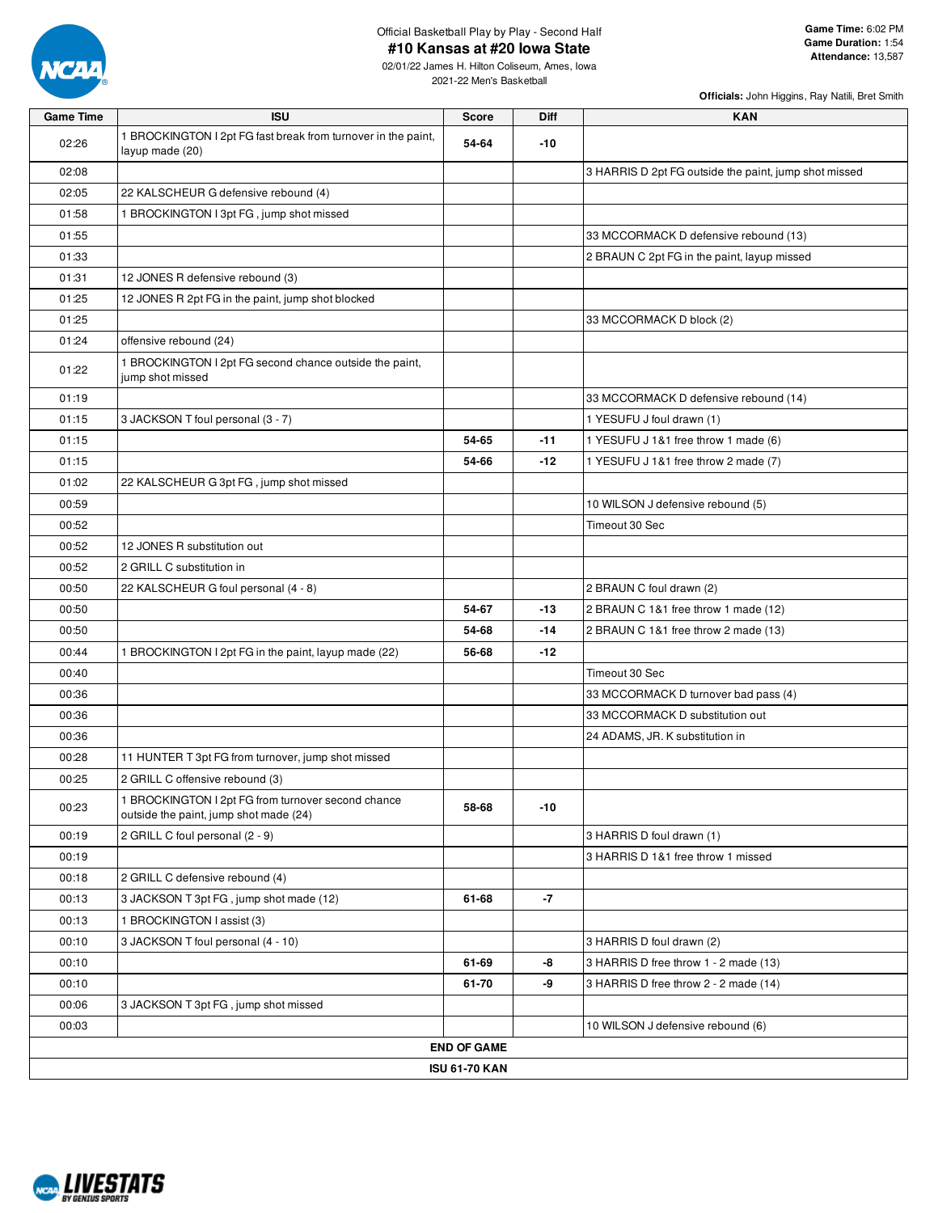

02/01/22 James H. Hilton Coliseum, Ames, Iowa 2021-22 Men's Basketball

| <b>Game Time</b> | <b>ISU</b>                                                                                   | <b>Score</b>         | Diff  | <b>KAN</b>                                            |
|------------------|----------------------------------------------------------------------------------------------|----------------------|-------|-------------------------------------------------------|
| 02:26            | 1 BROCKINGTON I 2pt FG fast break from turnover in the paint,<br>layup made (20)             | 54-64                | $-10$ |                                                       |
| 02:08            |                                                                                              |                      |       | 3 HARRIS D 2pt FG outside the paint, jump shot missed |
| 02:05            | 22 KALSCHEUR G defensive rebound (4)                                                         |                      |       |                                                       |
| 01:58            | 1 BROCKINGTON I 3pt FG, jump shot missed                                                     |                      |       |                                                       |
| 01:55            |                                                                                              |                      |       | 33 MCCORMACK D defensive rebound (13)                 |
| 01:33            |                                                                                              |                      |       | 2 BRAUN C 2pt FG in the paint, layup missed           |
| 01:31            | 12 JONES R defensive rebound (3)                                                             |                      |       |                                                       |
| 01:25            | 12 JONES R 2pt FG in the paint, jump shot blocked                                            |                      |       |                                                       |
| 01:25            |                                                                                              |                      |       | 33 MCCORMACK D block (2)                              |
| 01:24            | offensive rebound (24)                                                                       |                      |       |                                                       |
| 01:22            | 1 BROCKINGTON I 2pt FG second chance outside the paint,<br>jump shot missed                  |                      |       |                                                       |
| 01:19            |                                                                                              |                      |       | 33 MCCORMACK D defensive rebound (14)                 |
| 01:15            | 3 JACKSON T foul personal (3 - 7)                                                            |                      |       | 1 YESUFU J foul drawn (1)                             |
| 01:15            |                                                                                              | 54-65                | $-11$ | 1 YESUFU J 1&1 free throw 1 made (6)                  |
| 01:15            |                                                                                              | 54-66                | $-12$ | 1 YESUFU J 1&1 free throw 2 made (7)                  |
| 01:02            | 22 KALSCHEUR G 3pt FG, jump shot missed                                                      |                      |       |                                                       |
| 00:59            |                                                                                              |                      |       | 10 WILSON J defensive rebound (5)                     |
| 00:52            |                                                                                              |                      |       | Timeout 30 Sec                                        |
| 00:52            | 12 JONES R substitution out                                                                  |                      |       |                                                       |
| 00:52            | 2 GRILL C substitution in                                                                    |                      |       |                                                       |
| 00:50            | 22 KALSCHEUR G foul personal (4 - 8)                                                         |                      |       | 2 BRAUN C foul drawn (2)                              |
| 00:50            |                                                                                              | 54-67                | $-13$ | 2 BRAUN C 1&1 free throw 1 made (12)                  |
| 00:50            |                                                                                              | 54-68                | $-14$ | 2 BRAUN C 1&1 free throw 2 made (13)                  |
| 00:44            | 1 BROCKINGTON I 2pt FG in the paint, layup made (22)                                         | 56-68                | $-12$ |                                                       |
| 00:40            |                                                                                              |                      |       | Timeout 30 Sec                                        |
| 00:36            |                                                                                              |                      |       | 33 MCCORMACK D turnover bad pass (4)                  |
| 00:36            |                                                                                              |                      |       | 33 MCCORMACK D substitution out                       |
| 00:36            |                                                                                              |                      |       | 24 ADAMS, JR. K substitution in                       |
| 00:28            | 11 HUNTER T 3pt FG from turnover, jump shot missed                                           |                      |       |                                                       |
| 00:25            | 2 GRILL C offensive rebound (3)                                                              |                      |       |                                                       |
| 00:23            | 1 BROCKINGTON I 2pt FG from turnover second chance<br>outside the paint, jump shot made (24) | 58-68                | $-10$ |                                                       |
| 00:19            | 2 GRILL C foul personal (2 - 9)                                                              |                      |       | 3 HARRIS D foul drawn (1)                             |
| 00:19            |                                                                                              |                      |       | 3 HARRIS D 1&1 free throw 1 missed                    |
| 00:18            | 2 GRILL C defensive rebound (4)                                                              |                      |       |                                                       |
| 00:13            | 3 JACKSON T 3pt FG, jump shot made (12)                                                      | 61-68                | -7    |                                                       |
| 00:13            | 1 BROCKINGTON I assist (3)                                                                   |                      |       |                                                       |
| 00:10            | 3 JACKSON T foul personal (4 - 10)                                                           |                      |       | 3 HARRIS D foul drawn (2)                             |
| 00:10            |                                                                                              | 61-69                | -8    | 3 HARRIS D free throw 1 - 2 made (13)                 |
| 00:10            |                                                                                              | 61-70                | -9    | 3 HARRIS D free throw 2 - 2 made (14)                 |
| 00:06            | 3 JACKSON T 3pt FG, jump shot missed                                                         |                      |       |                                                       |
| 00:03            |                                                                                              |                      |       | 10 WILSON J defensive rebound (6)                     |
|                  |                                                                                              | <b>END OF GAME</b>   |       |                                                       |
|                  |                                                                                              | <b>ISU 61-70 KAN</b> |       |                                                       |

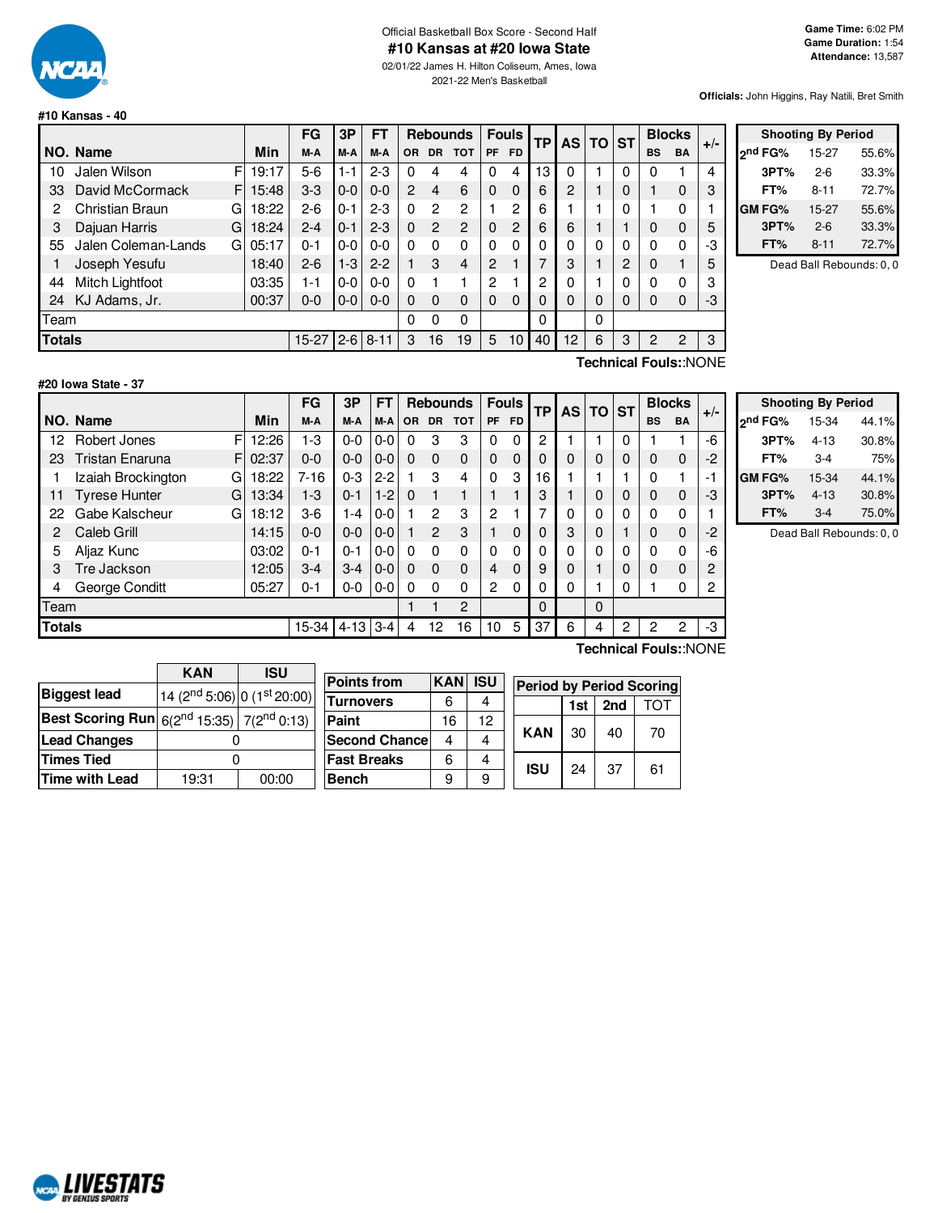

## Official Basketball Box Score - Second Half **#10 Kansas at #20 Iowa State**

02/01/22 James H. Hilton Coliseum, Ames, Iowa 2021-22 Men's Basketball

**Officials:** John Higgins, Ray Natili, Bret Smith

#### **#10 Kansas - 40**

|               |                          |             | FG      | 3Р            | FT       |          |               | <b>Rebounds</b> |           | <b>Fouls</b> | <b>TP</b>      | <b>AS</b> | TO       | <b>ST</b> |           | <b>Blocks</b>         | $+/-$ |
|---------------|--------------------------|-------------|---------|---------------|----------|----------|---------------|-----------------|-----------|--------------|----------------|-----------|----------|-----------|-----------|-----------------------|-------|
|               | NO. Name                 | <b>Min</b>  | M-A     | M-A           | M-A      | OR.      | <b>DR</b>     | <b>TOT</b>      | <b>PF</b> | <b>FD</b>    |                |           |          |           | <b>BS</b> | <b>BA</b>             |       |
| 10            | Jalen Wilson             | F<br>19:17  | 5-6     | $1 - 1$       | $2-3$    | 0        | 4             | 4               | 0         | 4            | 13             | 0         |          | 0         | 0         |                       | 4     |
| 33            | David McCormack          | F.<br>15:48 | $3 - 3$ | $0-0$         | $0 - 0$  | 2        | 4             | 6               | 0         | $\Omega$     | 6              | 2         |          | $\Omega$  |           | 0                     | 3     |
| 2             | Christian Braun<br>G     | 18:22       | $2-6$   | 0-1           | $2 - 3$  | $\Omega$ | 2             | 2               |           | 2            | 6              |           |          | 0         |           | 0                     |       |
| 3             | Dajuan Harris<br>G       | 18:24       | $2 - 4$ | $0 - 1$       | $2 - 3$  | $\Omega$ | $\mathcal{P}$ | 2               | 0         | 2            | 6              | 6         |          |           | 0         | 0                     | 5     |
| 55            | Jalen Coleman-Lands<br>G | 05:17       | 0-1     | $0-0$         | $0 - 0$  | $\Omega$ | 0             | $\Omega$        | 0         | $\Omega$     | 0              | 0         | 0        | 0         | 0         | $\Omega$              | -3    |
|               | Joseph Yesufu            | 18:40       | $2-6$   | $1 - 3$       | $2 - 2$  |          | 3             | 4               | 2         |              | ⇁              | 3         |          | 2         | 0         |                       | 5     |
| 44            | Mitch Lightfoot          | 03:35       | 1-1     | $0 - 0$       | $0 - 0$  | $\Omega$ |               |                 | 2         |              | $\overline{c}$ | 0         |          | 0         | 0         | 0                     | 3     |
| 24            | KJ Adams, Jr.            | 00:37       | 0-0     | $0-0$         | $0 - 0$  | $\Omega$ | $\Omega$      | 0               | 0         | $\Omega$     | 0              | 0         | $\Omega$ | 0         | 0         | 0                     | -3    |
| Team          |                          |             |         |               | 0        | 0        | 0             |                 |           | 0            |                | 0         |          |           |           |                       |       |
| <b>Totals</b> |                          |             |         | $15-27$   2-6 | $8 - 11$ | 3        | 16            | 19              | 5         | 10           | 40             | 12        | 6        | 3         | 2         | 2                     | 3     |
|               |                          |             |         |               |          |          |               |                 |           |              |                |           |          |           |           | Technical Fouls::NONE |       |

|         | <b>Shooting By Period</b> |       |
|---------|---------------------------|-------|
| ond FG% | 15-27                     | 55.6% |
| 3PT%    | $2 - 6$                   | 33.3% |
| FT%     | 8-11                      | 72.7% |
| GM FG%  | 15-27                     | 55.6% |
| 3PT%    | $2 - 6$                   | 33.3% |
| FT%     | $8 - 11$                  | 72.7% |

Dead Ball Rebounds: 0, 0

#### **#20 Iowa State - 37**

 $F$  12:26  $F$  02:37  $G$  18:22 G 13:34  $G$  18:12 **NO. Name Min FG 3P FT Rebounds Fouls TP AS TO ST**  $\begin{bmatrix} \mathsf{FG} & \mathsf{3P} & \mathsf{FT} \\ \mathsf{M-A} & \mathsf{M-A} & \mathsf{OR} & \mathsf{DR} & \mathsf{TOT} \end{bmatrix}$   $\begin{bmatrix} \mathsf{FO} & \mathsf{SP} \\ \mathsf{PF} & \mathsf{FD} \end{bmatrix}$   $\begin{bmatrix} \mathsf{TD} & \mathsf{ST} \end{bmatrix}$   $\begin{bmatrix} \mathsf{B} & \mathsf{B} & \mathsf{BA} \\ \mathsf{BS} & \mathsf{BA} \end{bmatrix}$  +/-12 Robert Jones FI 12:26 1 - 3 0 - 0 0 - 0 0 3 3 0 0 2 1 1 1 0 1 1 1 - 6 23 Tristan Enaruna  $F[02:37 \mid 0.0 \mid 0.0 \mid 0.0]$  0 0 0 0 0 0 0 0 0 0 0 0 0 0 0 2 1 Izaiah Brockington G | 18:22 | 7-16 | 0-3 | 2-2 | 1 3 4 | 0 3 | 16 | 1 | 1 | 1 | 0 1 | -1 11 Tyrese Hunter G | 13:34 | 1-3 | 0-1 | 1-2 | 0  $1 \cdot 1$  | 1 | 1 | 1 | 3 | 1 | 0 | 0 | 0 | 0 | -3 22 Gabe Kalscheur G | 18:12 | 3-6 | 1-4 | 0-0 | 1 2 3 | 2 1 | 7 | 0 | 0 | 0 | 0 | 0 | 1 2 Caleb Grill 14:15 0-0 0-0 0-0 1 2 3 1 0 0 3 0 1 0 0 -2 5 Aljaz Kunc 03:02 0-1 0-1 0-0 0 0 0 0 0 0 0 0 0 0 0 -6 3 Tre Jackson 12:05 3-4 3-4 0-0 0 0 0 4 0 9 0 1 0 0 0 2 4 George Conditt 05:27 0-1 0-0 0-0 0 0 0 2 0 0 0 1 0 1 0 2 Team 1 1 2 0 0 **Totals** 15-34 4-13 3-4 4 12 16 10 5 37 6 4 2 2 2 -3

|                     | <b>Shooting By Period</b> |       |
|---------------------|---------------------------|-------|
| 2 <sup>nd</sup> FG% | 15-34                     | 44.1% |
| 3PT%                | $4 - 13$                  | 30.8% |
| FT%                 | $3-4$                     | 75%   |
| GM FG%              | 15-34                     | 44.1% |
| 3PT%                | $4 - 13$                  | 30.8% |
| FT%                 | $3-4$                     | 75.0% |

Dead Ball Rebounds: 0, 0

|                                                              | <b>KAN</b>                              | <b>ISU</b> | P                       |  |  |  |  |
|--------------------------------------------------------------|-----------------------------------------|------------|-------------------------|--|--|--|--|
| <b>Biggest lead</b>                                          | 14 (2 <sup>nd</sup> 5:06) 0 (1st 20:00) |            | $\overline{\mathsf{T}}$ |  |  |  |  |
| <b>Best Scoring Run</b> $6(2^{nd} 15:35)$ 7( $2^{nd} 0:13$ ) |                                         |            | P                       |  |  |  |  |
| <b>Lead Changes</b>                                          |                                         |            | S                       |  |  |  |  |
| <b>Times Tied</b>                                            |                                         |            |                         |  |  |  |  |
| Time with Lead                                               | 19:31                                   | 00:00      | B                       |  |  |  |  |

| <b>Points from</b>   | <b>KAN</b> | <b>ISU</b> | <b>Period by F</b> |     |
|----------------------|------------|------------|--------------------|-----|
| <b>Turnovers</b>     | 6          |            |                    | 1si |
| Paint                | 16         | 12         |                    |     |
| <b>Second Chance</b> | 4          | 4          | <b>KAN</b>         | 30  |
| <b>Fast Breaks</b>   | 6          | 4          | <b>ISU</b>         |     |
| <b>Bench</b>         | 9          | 9          |                    | 24  |

**Technical Fouls:**:NONE

| <b>Period by Period Scoring</b> |    |           |     |  |  |  |  |  |  |
|---------------------------------|----|-----------|-----|--|--|--|--|--|--|
|                                 |    | 1st   2nd | TOT |  |  |  |  |  |  |
| KAN                             | 30 | 40        | 70  |  |  |  |  |  |  |
| ISU                             | 24 | 37        | 61  |  |  |  |  |  |  |

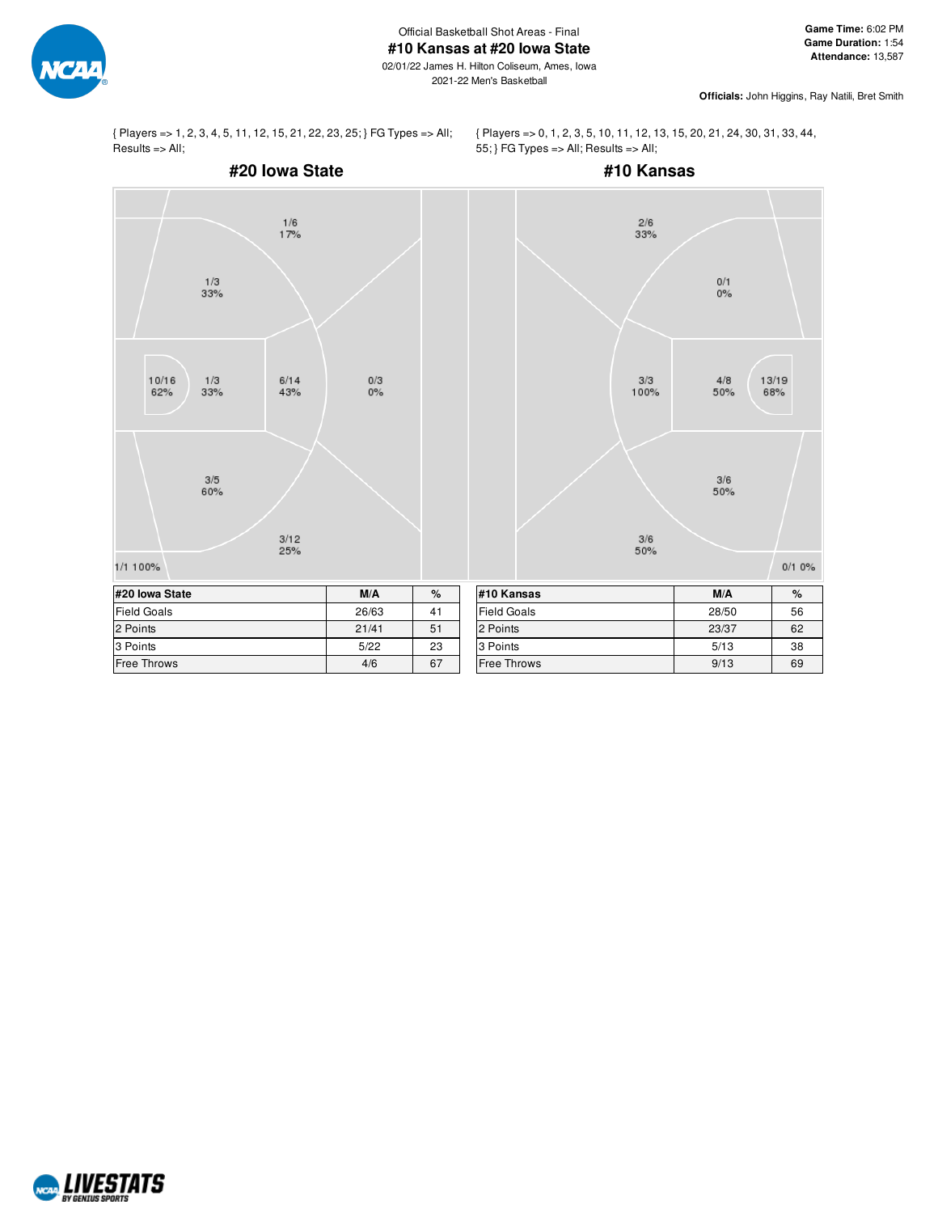

02/01/22 James H. Hilton Coliseum, Ames, Iowa 2021-22 Men's Basketball

**Officials:** John Higgins, Ray Natili, Bret Smith

{ Players => 1, 2, 3, 4, 5, 11, 12, 15, 21, 22, 23, 25; } FG Types => All;  $Results \Rightarrow All;$ 

{ Players => 0, 1, 2, 3, 5, 10, 11, 12, 13, 15, 20, 21, 24, 30, 31, 33, 44, 55; } FG Types => All; Results => All;



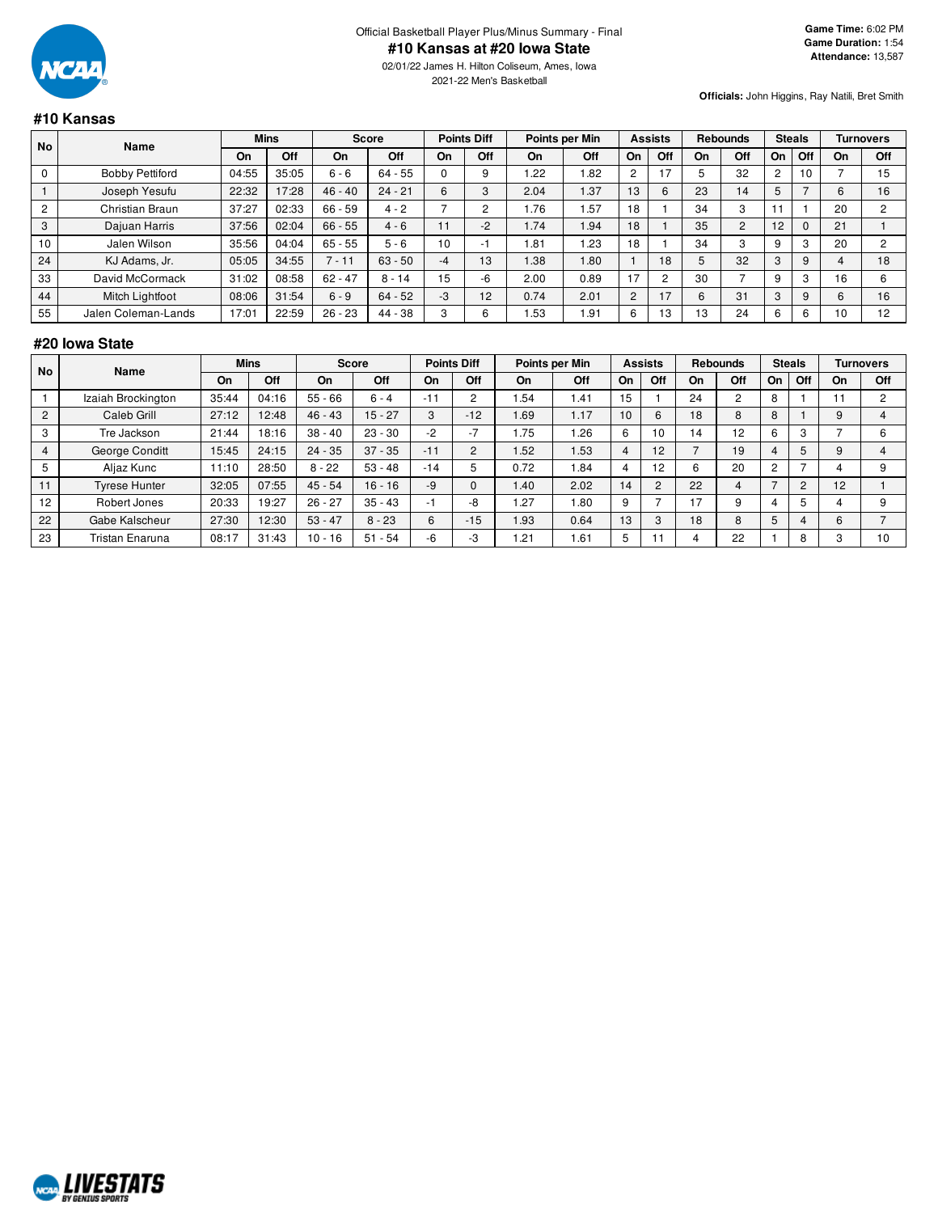

02/01/22 James H. Hilton Coliseum, Ames, Iowa 2021-22 Men's Basketball

**Officials:** John Higgins, Ray Natili, Bret Smith

#### **#10 Kansas**

| <b>No</b><br>Name |                        | <b>Mins</b> |       | <b>Score</b> |           | <b>Points Diff</b> |      | Points per Min |      | <b>Assists</b> |                | <b>Rebounds</b> |        | <b>Steals</b>  |             | <b>Turnovers</b> |    |
|-------------------|------------------------|-------------|-------|--------------|-----------|--------------------|------|----------------|------|----------------|----------------|-----------------|--------|----------------|-------------|------------------|----|
|                   | On                     | Off         | On    | Off          | On        | Off                | On   | Off            | On   | Off            | On             | Off             | On     | Off            | On          | Off              |    |
|                   | <b>Bobby Pettiford</b> | 04:55       | 35:05 | $6 - 6$      | $64 - 55$ |                    |      | .22            | .82  | $\overline{2}$ | 17             |                 | 32     | $\overline{2}$ | 10          |                  | 15 |
|                   | Joseph Yesufu          | 22:32       | 17:28 | $46 - 40$    | $24 - 21$ | 6                  |      | 2.04           | 1.37 | 13             | 6              | 23              | 14     | 5              |             | 6                | 16 |
| $\overline{c}$    | Christian Braun        | 37:27       | 02:33 | $66 - 59$    | $4 - 2$   |                    |      | . 76           | .57  | 18             |                | 34              |        |                |             | 20               | ົ  |
| 3                 | Dajuan Harris          | 37:56       | 02:04 | $66 - 55$    | $4 - 6$   | 11                 | $-2$ | 1.74           | 1.94 | 18             |                | 35              | $\sim$ | 12             | $\mathbf 0$ | 21               |    |
| 10                | Jalen Wilson           | 35:56       | 04:04 | $65 - 55$    | $5 - 6$   | 10                 | - 1  | . 81           | 1.23 | 18             |                | 34              |        |                | 3           | 20               | c  |
| 24                | KJ Adams, Jr.          | 05:05       | 34:55 | $7 - 11$     | $63 - 50$ | $-4$               | 13   | 1.38           | 1.80 |                | 18             |                 | 32     | 3              | 9           | 4                | 18 |
| 33                | David McCormack        | 31:02       | 08:58 | $62 - 47$    | $8 - 14$  | 15                 | -6   | 2.00           | 0.89 | 17             | $\overline{2}$ | 30              |        |                | 3           | 16               | 6  |
| 44                | Mitch Lightfoot        | 08:06       | 31:54 | $6 - 9$      | $64 - 52$ | $-3$               | 12   | 0.74           | 2.01 | $\overline{2}$ | 17             | 6               | 31     | 3              | 9           | 6                | 16 |
| 55                | Jalen Coleman-Lands    | 17:01       | 22:59 | $26 - 23$    | 44 - 38   | $\sqrt{2}$         |      | . 53           | i 91 | 6              | 13             | 13              | 24     | 6              | 6           | 10               | 12 |

#### **#20 Iowa State**

| No             | Name                 | <b>Mins</b> |       |           | <b>Score</b> |       | <b>Points Diff</b>                         |      | Points per Min |    | <b>Assists</b> |                | <b>Rebounds</b> |    | <b>Steals</b>  |    | Turnovers |
|----------------|----------------------|-------------|-------|-----------|--------------|-------|--------------------------------------------|------|----------------|----|----------------|----------------|-----------------|----|----------------|----|-----------|
|                |                      | On          | Off   | On        | Off          | On    | Off                                        | On   | Off            | On | Off            | On             | Off             | On | Off            | On | Off       |
|                | Izaiah Brockington   | 35:44       | 04:16 | $55 - 66$ | $6 - 4$      | $-11$ |                                            | .54  | 1.41           | 15 |                | 24             | $\overline{2}$  | 8  |                |    | $\sim$    |
| $\overline{2}$ | Caleb Grill          | 27:12       | 12:48 | $46 - 43$ | $15 - 27$    | 3     | $-12$                                      | .69  | 1.17           | 10 | 6              | 18             | 8               | 8  |                |    |           |
| 3              | Tre Jackson          | 21:44       | 18:16 | $38 - 40$ | $23 - 30$    | $-2$  | $\overline{ }$<br>$\overline{\phantom{0}}$ | . 75 | . 26           |    | 10             | $\overline{4}$ | 12              | 6  | 3              |    |           |
| $\overline{4}$ | George Conditt       | 15:45       | 24:15 | $24 - 35$ | $37 - 35$    | $-11$ | $\overline{2}$                             | .52  | .53            | 4  | 12             |                | 19              | 4  | 5              |    |           |
| 5              | Aljaz Kunc           | 11:10       | 28:50 | $8 - 22$  | $53 - 48$    | $-14$ |                                            | 0.72 | . 84           |    | 12             |                | 20              | 2  |                |    | 9         |
| 11             | <b>Tyrese Hunter</b> | 32:05       | 07:55 | $45 - 54$ | $16 - 16$    | $-9$  |                                            | 1.40 | 2.02           | 14 | $\Omega$       | 22             | 4               |    | $\overline{2}$ | 12 |           |
| 12             | Robert Jones         | 20:33       | 19:27 | $26 - 27$ | $35 - 43$    | -1    | -8                                         | .27  | . 80           |    |                | $\overline{7}$ | 9               |    | 5              |    | 9         |
| 22             | Gabe Kalscheur       | 27:30       | 12:30 | $53 - 47$ | $8 - 23$     | 6     | $-15$                                      | .93  | 0.64           | 13 |                | 18             | 8               | 5  | 4              |    |           |
| 23             | Tristan Enaruna      | 08:17       | 31:43 | $10 - 16$ | $51 - 54$    | $-6$  | $-3$                                       | .21  | .61            |    |                |                | 22              |    | 8              |    | 10        |

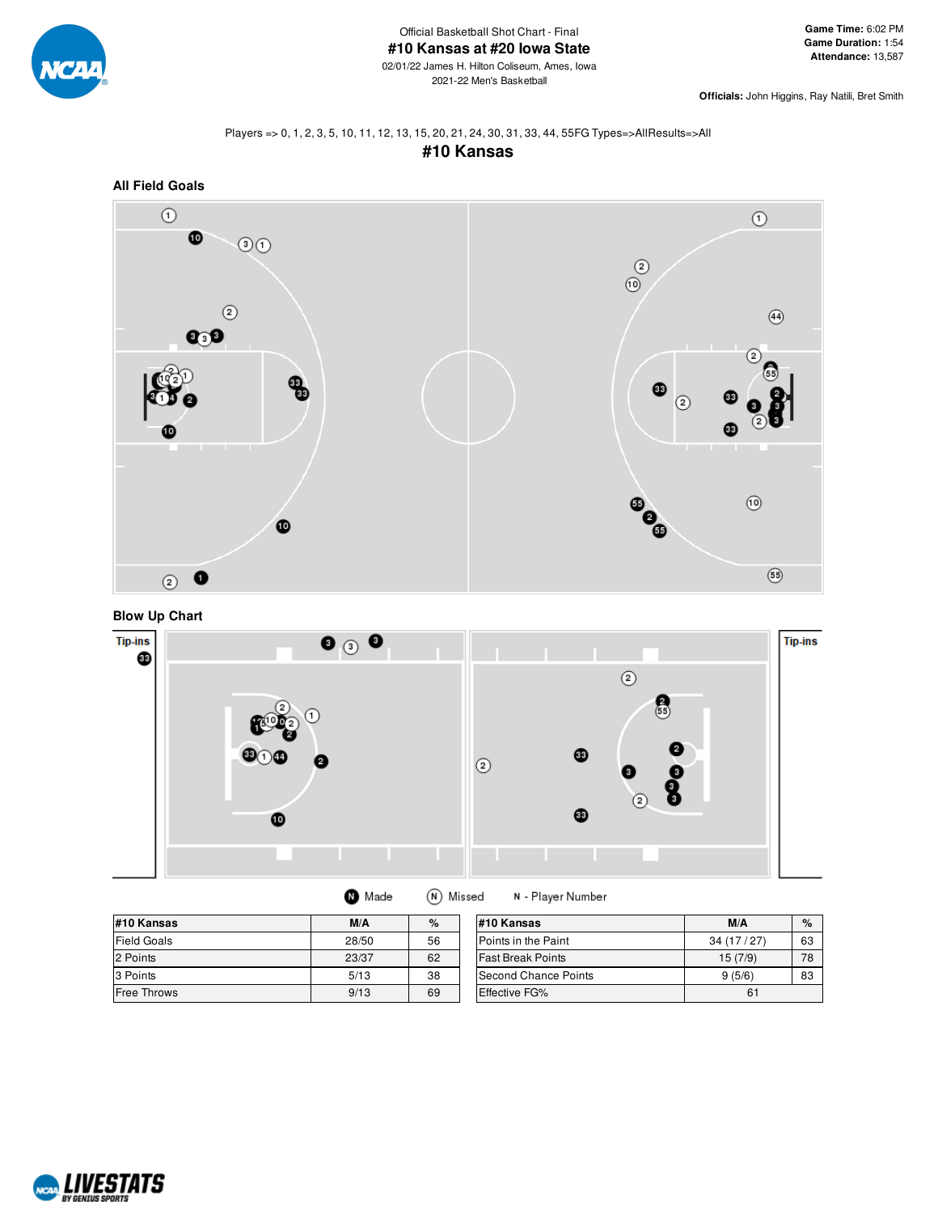

**Officials:** John Higgins, Ray Natili, Bret Smith

#### Players => 0, 1, 2, 3, 5, 10, 11, 12, 13, 15, 20, 21, 24, 30, 31, 33, 44, 55FG Types=>AllResults=>All **#10 Kansas**



**Blow Up Chart**

![](_page_16_Figure_8.jpeg)

| Made | (N) Missed |
|------|------------|
|      |            |

N - Player Number

| #10 Kansas         | M/A   | %<br>M/A<br>#10 Kansas |                          |           |    |  |
|--------------------|-------|------------------------|--------------------------|-----------|----|--|
| <b>Field Goals</b> | 28/50 | 56                     | Points in the Paint      | 34(17/27) | 63 |  |
| 2 Points           | 23/37 | 62                     | <b>Fast Break Points</b> | 15(7/9)   | 78 |  |
| 3 Points           | 5/13  | 38                     | Second Chance Points     | 9(5/6)    | 83 |  |
| Free Throws        | 9/13  | 69                     | <b>Effective FG%</b>     | 61        |    |  |

![](_page_16_Picture_12.jpeg)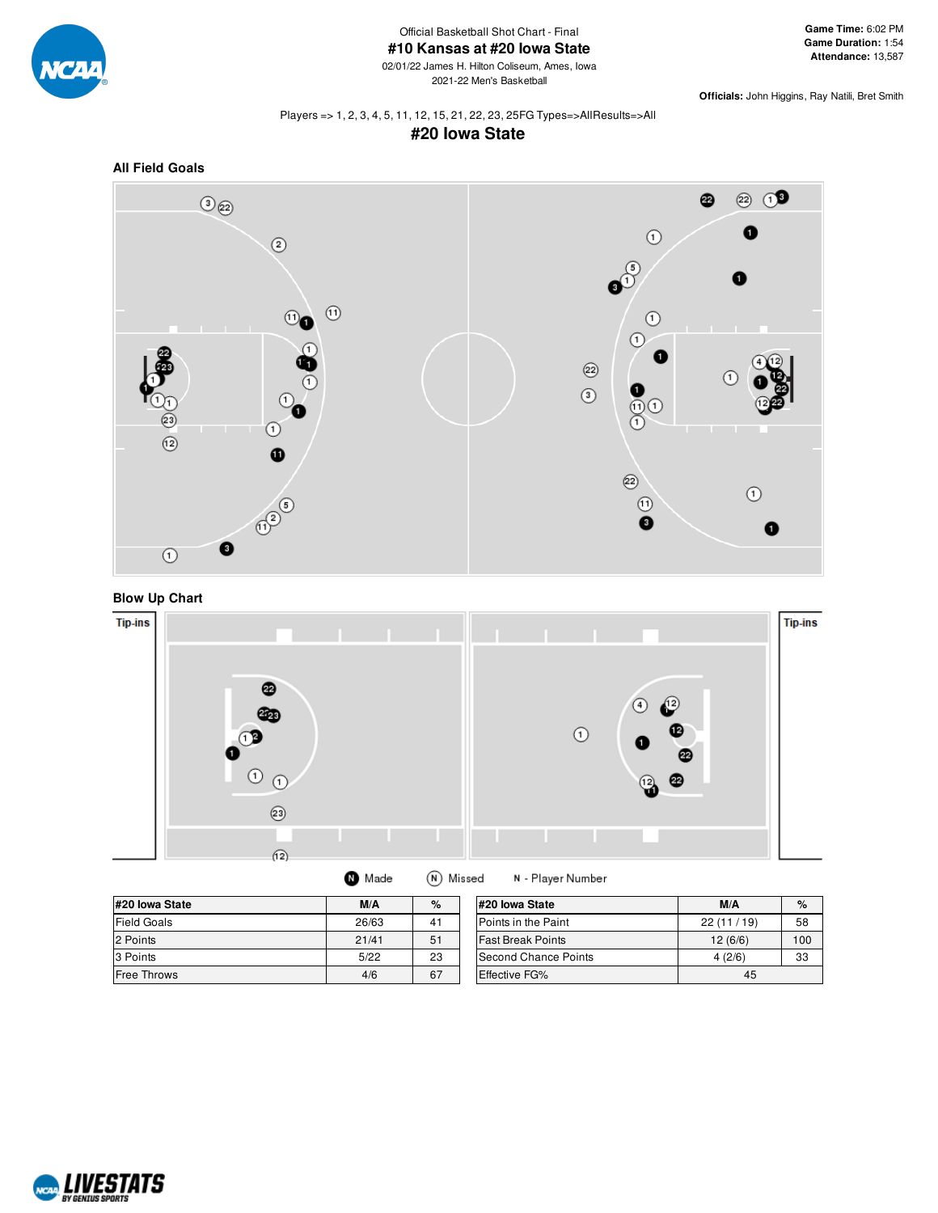![](_page_17_Picture_0.jpeg)

Official Basketball Shot Chart - Final **#10 Kansas at #20 Iowa State**

02/01/22 James H. Hilton Coliseum, Ames, Iowa 2021-22 Men's Basketball

**Game Time:** 6:02 PM **Game Duration:** 1:54 **Attendance:** 13,587

**Officials:** John Higgins, Ray Natili, Bret Smith

#### Players => 1, 2, 3, 4, 5, 11, 12, 15, 21, 22, 23, 25FG Types=>AllResults=>All **#20 Iowa State**

![](_page_17_Figure_6.jpeg)

![](_page_17_Figure_7.jpeg)

![](_page_17_Figure_8.jpeg)

![](_page_17_Figure_9.jpeg)

| #20 Iowa State     | M/A   | %  | #20 lowa State           | M/A       | $\%$ |
|--------------------|-------|----|--------------------------|-----------|------|
| Field Goals        | 26/63 | 41 | Points in the Paint      | 22(11/19) | 58   |
| 2 Points           | 21/41 | 51 | <b>Fast Break Points</b> | 12(6/6)   | 100  |
| 3 Points           | 5/22  | 23 | Second Chance Points     | 4(2/6)    | 33   |
| <b>Free Throws</b> | 4/6   | 67 | <b>Effective FG%</b>     | 45        |      |

![](_page_17_Picture_11.jpeg)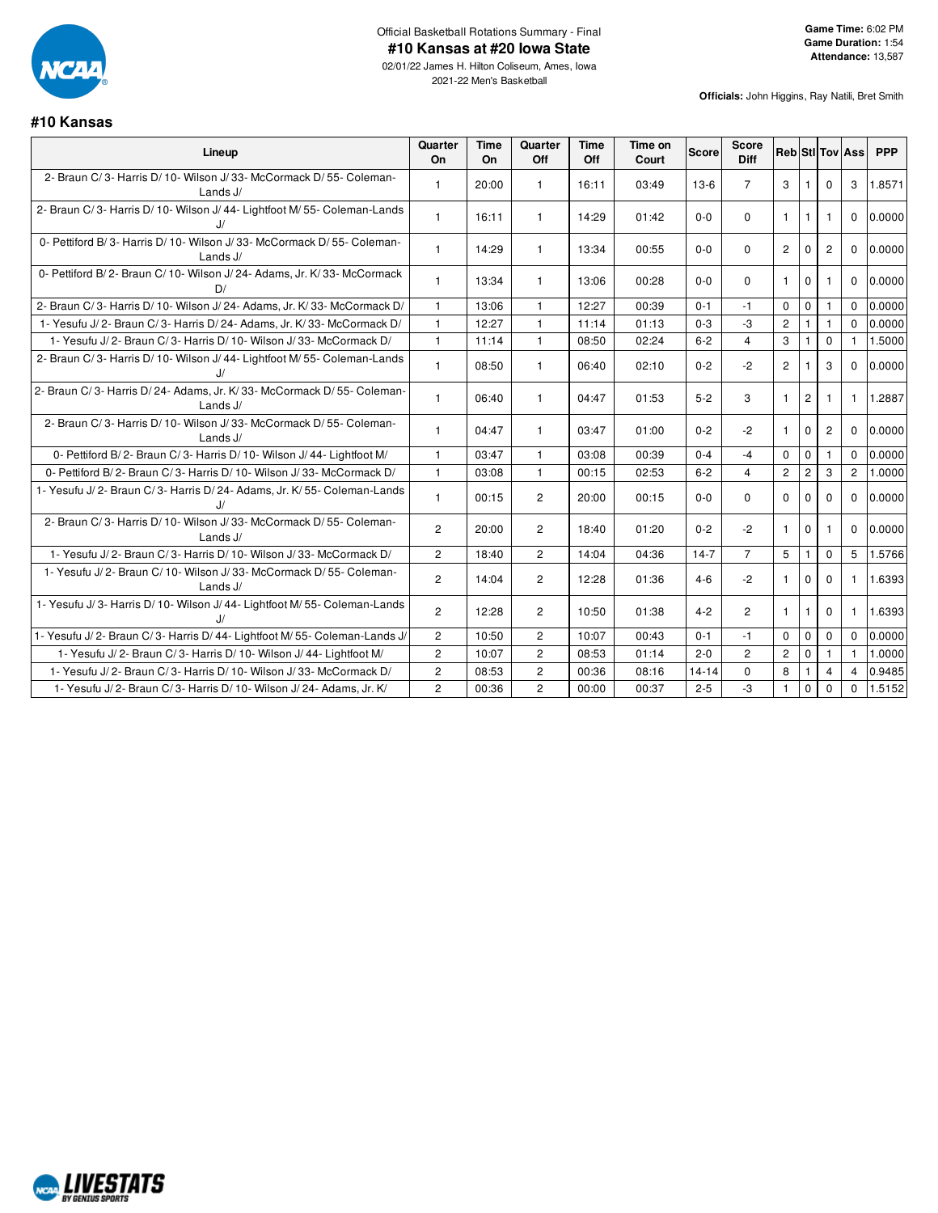![](_page_18_Picture_0.jpeg)

**#10 Kansas**

2021-22 Men's Basketball

| Lineup                                                                             | Quarter<br>On  | <b>Time</b><br><b>On</b> | Quarter<br>Off | <b>Time</b><br>Off | Time on<br>Court | Score     | <b>Score</b><br><b>Diff</b> | <b>Reb StilTov Ass</b> |                |                |                | <b>PPP</b> |
|------------------------------------------------------------------------------------|----------------|--------------------------|----------------|--------------------|------------------|-----------|-----------------------------|------------------------|----------------|----------------|----------------|------------|
| 2- Braun C/3- Harris D/10- Wilson J/33- McCormack D/55- Coleman-<br>Lands $J/$     | $\mathbf{1}$   | 20:00                    | $\mathbf{1}$   | 16:11              | 03:49            | $13-6$    | $\overline{7}$              | 3                      | $\mathbf{1}$   | $\Omega$       | 3              | 1.8571     |
| 2- Braun C/3- Harris D/10- Wilson J/44- Lightfoot M/55- Coleman-Lands<br>J/        | $\mathbf{1}$   | 16:11                    | $\mathbf{1}$   | 14:29              | 01:42            | $0-0$     | $\Omega$                    | $\mathbf{1}$           | $\mathbf{1}$   | $\mathbf{1}$   | $\mathbf{0}$   | 0.0000     |
| 0- Pettiford B/3- Harris D/10- Wilson J/33- McCormack D/55- Coleman-<br>Lands $J/$ | $\overline{1}$ | 14:29                    | $\mathbf{1}$   | 13:34              | 00:55            | $0-0$     | $\Omega$                    | $\overline{2}$         | $\Omega$       | $\overline{2}$ | $\mathbf{0}$   | 0.0000     |
| 0- Pettiford B/2- Braun C/10- Wilson J/24- Adams, Jr. K/33- McCormack<br>D/        | $\mathbf{1}$   | 13:34                    | $\mathbf{1}$   | 13:06              | 00:28            | $0-0$     | $\Omega$                    | $\mathbf{1}$           | $\mathbf{0}$   | -1             | 0              | 0.0000     |
| 2- Braun C/3- Harris D/10- Wilson J/24- Adams, Jr. K/33- McCormack D/              | $\mathbf{1}$   | 13:06                    | $\mathbf{1}$   | 12:27              | 00:39            | $0 - 1$   | $-1$                        | $\Omega$               | $\mathbf 0$    | $\overline{1}$ | $\mathbf 0$    | 0.0000     |
| 1- Yesufu J/2- Braun C/3- Harris D/24- Adams, Jr. K/33- McCormack D/               | $\mathbf{1}$   | 12:27                    | $\mathbf{1}$   | 11:14              | 01:13            | $0 - 3$   | $-3$                        | $\mathbf{2}$           |                |                | $\Omega$       | 0.0000     |
| 1- Yesufu J/2- Braun C/3- Harris D/10- Wilson J/33- McCormack D/                   | $\mathbf{1}$   | 11:14                    | $\mathbf{1}$   | 08:50              | 02:24            | $6 - 2$   | $\overline{4}$              | 3                      |                | $\mathbf 0$    | $\mathbf{1}$   | 1.5000     |
| 2- Braun C/3- Harris D/10- Wilson J/44- Lightfoot M/55- Coleman-Lands<br>IJ        | $\mathbf{1}$   | 08:50                    | $\mathbf{1}$   | 06:40              | 02:10            | $0 - 2$   | $-2$                        | $\mathbf{2}^{\prime}$  | -1             | 3              | $\mathbf{0}$   | 0.0000     |
| 2- Braun C/3- Harris D/24- Adams, Jr. K/33- McCormack D/55- Coleman-<br>Lands J/   | $\mathbf{1}$   | 06:40                    | $\mathbf{1}$   | 04:47              | 01:53            | $5-2$     | 3                           | $\mathbf{1}$           | $\overline{2}$ | -1             | $\mathbf{1}$   | 1.2887     |
| 2- Braun C/3- Harris D/10- Wilson J/33- McCormack D/55- Coleman-<br>Lands J/       | $\overline{1}$ | 04:47                    | $\mathbf{1}$   | 03:47              | 01:00            | $0 - 2$   | $-2$                        | 1                      | $\Omega$       | $\overline{c}$ | $\mathbf 0$    | 0.0000     |
| 0- Pettiford B/2- Braun C/3- Harris D/10- Wilson J/44- Lightfoot M/                | $\overline{1}$ | 03:47                    | $\mathbf{1}$   | 03:08              | 00:39            | $0 - 4$   | $-4$                        | $\mathbf 0$            | $\mathbf 0$    | $\mathbf{1}$   | $\Omega$       | 0.0000     |
| 0- Pettiford B/2- Braun C/3- Harris D/10- Wilson J/33- McCormack D/                | $\mathbf{1}$   | 03:08                    | $\mathbf{1}$   | 00:15              | 02:53            | $6 - 2$   | $\overline{4}$              | $\overline{2}$         | $\overline{c}$ | 3              | $\overline{2}$ | 1.0000     |
| 1- Yesufu J/2- Braun C/3- Harris D/24- Adams, Jr. K/55- Coleman-Lands              | $\overline{1}$ | 00:15                    | $\overline{2}$ | 20:00              | 00:15            | $0 - 0$   | $\Omega$                    | $\Omega$               | $\Omega$       | $\Omega$       | $\Omega$       | 0.0000     |
| 2- Braun C/3- Harris D/10- Wilson J/33- McCormack D/55- Coleman-<br>Lands $J/$     | $\overline{2}$ | 20:00                    | $\overline{2}$ | 18:40              | 01:20            | $0 - 2$   | $-2$                        | $\mathbf{1}$           | $\Omega$       | -1             | $\Omega$       | 0.0000     |
| 1- Yesufu J/2- Braun C/3- Harris D/10- Wilson J/33- McCormack D/                   | $\overline{2}$ | 18:40                    | $\overline{2}$ | 14:04              | 04:36            | $14-7$    | $\overline{7}$              | 5                      | $\mathbf{1}$   | $\Omega$       | 5              | 1.5766     |
| 1- Yesufu J/2- Braun C/10- Wilson J/33- McCormack D/55- Coleman-<br>Lands J/       | $\overline{2}$ | 14:04                    | $\overline{2}$ | 12:28              | 01:36            | $4 - 6$   | $-2$                        | $\mathbf{1}$           | $\mathbf 0$    | $\Omega$       | $\mathbf{1}$   | 1.6393     |
| 1- Yesufu J/3- Harris D/10- Wilson J/44- Lightfoot M/55- Coleman-Lands<br>J/       | $\overline{2}$ | 12:28                    | $\overline{2}$ | 10:50              | 01:38            | $4 - 2$   | $\overline{2}$              | $\mathbf{1}$           | $\mathbf{1}$   | $\Omega$       | $\mathbf{1}$   | 1.6393     |
| 1- Yesufu J/2- Braun C/3- Harris D/44- Lightfoot M/55- Coleman-Lands J/            | $\overline{c}$ | 10:50                    | $\overline{c}$ | 10:07              | 00:43            | $0 - 1$   | $-1$                        | $\Omega$               | $\mathbf 0$    | $\mathbf 0$    | $\Omega$       | 0.0000     |
| 1- Yesufu J/2- Braun C/3- Harris D/10- Wilson J/44- Lightfoot M/                   | $\overline{2}$ | 10:07                    | $\overline{c}$ | 08:53              | 01:14            | $2 - 0$   | $\overline{2}$              | $\overline{2}$         | $\mathbf 0$    | $\mathbf{1}$   | $\mathbf{1}$   | 1.0000     |
| 1- Yesufu J/2- Braun C/3- Harris D/10- Wilson J/33- McCormack D/                   | $\overline{c}$ | 08:53                    | $\overline{2}$ | 00:36              | 08:16            | $14 - 14$ | $\mathbf 0$                 | 8                      | $\overline{1}$ | $\overline{4}$ | $\overline{4}$ | 0.9485     |
| 1- Yesufu J/2- Braun C/3- Harris D/10- Wilson J/24- Adams, Jr. K/                  | $\overline{2}$ | 00:36                    | $\overline{c}$ | 00:00              | 00:37            | $2 - 5$   | -3                          | $\mathbf{1}$           | $\mathbf{0}$   | $\mathbf 0$    | $\mathbf{0}$   | 1.5152     |

![](_page_18_Picture_5.jpeg)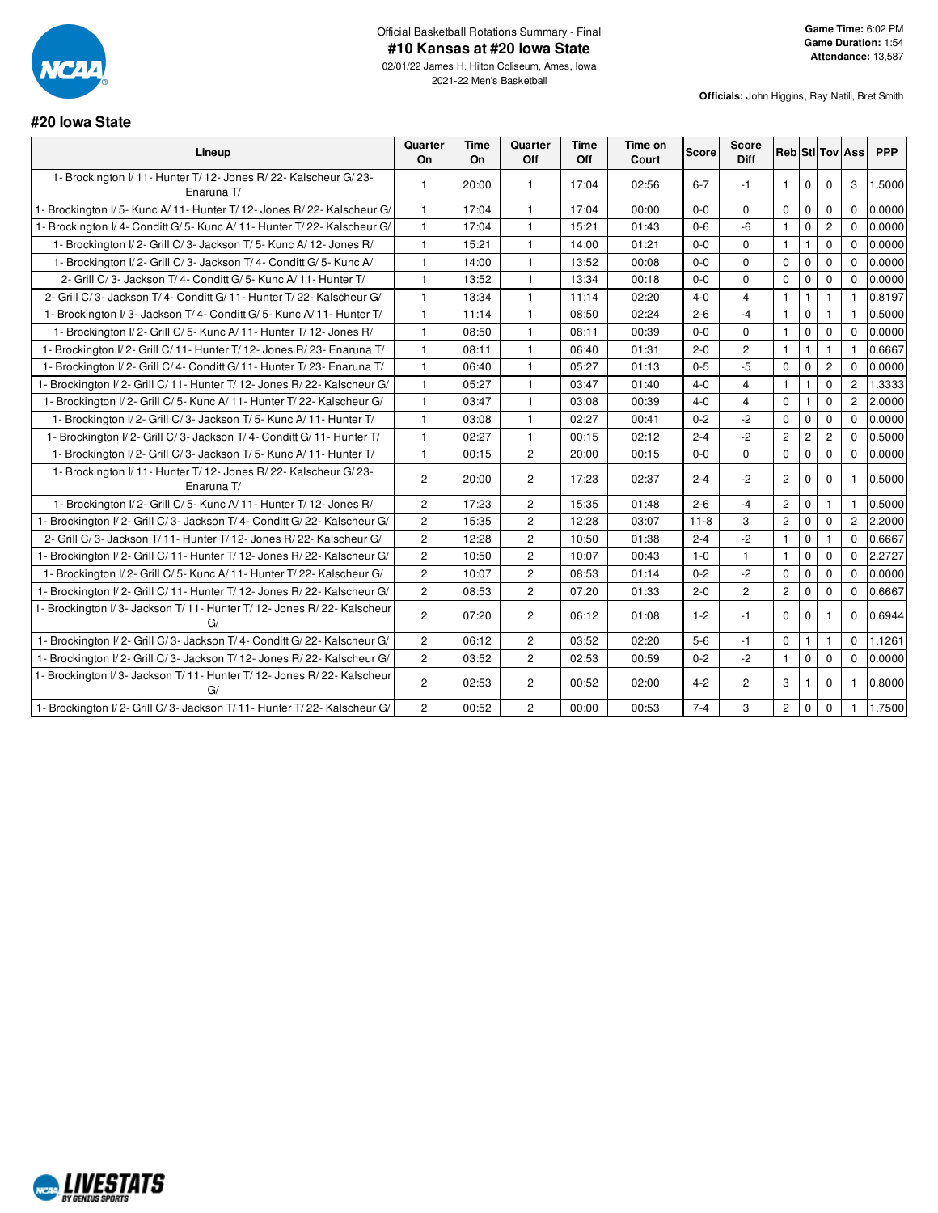![](_page_19_Picture_0.jpeg)

02/01/22 James H. Hilton Coliseum, Ames, Iowa 2021-22 Men's Basketball

#### **#20 Iowa State**

| <b>Officials:</b> John Higgins, Ray Natili, Bret Smith |  |
|--------------------------------------------------------|--|
|                                                        |  |
|                                                        |  |

| Lineup                                                                          | Quarter<br>On  | <b>Time</b><br>On | Quarter<br>Off | <b>Time</b><br>Off | Time on<br>Court | <b>Score</b> | Score<br><b>Diff</b>    |                |              |                | Reb StI Tov Ass | <b>PPP</b> |
|---------------------------------------------------------------------------------|----------------|-------------------|----------------|--------------------|------------------|--------------|-------------------------|----------------|--------------|----------------|-----------------|------------|
| 1- Brockington I/ 11- Hunter T/ 12- Jones R/ 22- Kalscheur G/ 23-<br>Enaruna T/ | $\mathbf{1}$   | 20:00             | $\mathbf{1}$   | 17:04              | 02:56            | $6 - 7$      | $-1$                    | $\mathbf{1}$   | $\mathbf 0$  | $\mathbf 0$    | 3               | 1.5000     |
| Brockington I/5- Kunc A/11- Hunter T/12- Jones R/22- Kalscheur G/               | $\overline{1}$ | 17:04             | $\mathbf{1}$   | 17:04              | 00:00            | $0 - 0$      | $\Omega$                | $\Omega$       | $\mathbf 0$  | $\mathbf 0$    | $\Omega$        | 0.0000     |
| Brockington I/4- Conditt G/5- Kunc A/11- Hunter T/22- Kalscheur G/              | $\overline{1}$ | 17:04             | $\mathbf{1}$   | 15:21              | 01:43            | $0 - 6$      | -6                      | $\mathbf{1}$   | $\mathbf 0$  | $\mathbf{2}$   | $\Omega$        | 0.0000     |
| 1- Brockington I/2- Grill C/3- Jackson T/5- Kunc A/12- Jones R/                 | $\mathbf{1}$   | 15:21             | $\mathbf{1}$   | 14:00              | 01:21            | $0 - 0$      | $\Omega$                | $\mathbf{1}$   | 1            | $\mathbf 0$    | $\Omega$        | 0.0000     |
| 1- Brockington I/2- Grill C/3- Jackson T/4- Conditt G/5- Kunc A/                | $\mathbf{1}$   | 14:00             | $\mathbf{1}$   | 13:52              | 00:08            | $0 - 0$      | $\Omega$                | $\mathbf 0$    | $\mathbf 0$  | $\mathbf 0$    | $\Omega$        | 0.0000     |
| 2- Grill C/3- Jackson T/4- Conditt G/5- Kunc A/11- Hunter T/                    | $\mathbf{1}$   | 13:52             | $\mathbf{1}$   | 13:34              | 00:18            | $0 - 0$      | $\Omega$                | $\Omega$       | $\mathbf 0$  | $\mathbf 0$    | $\Omega$        | 0.0000     |
| 2- Grill C/3- Jackson T/4- Conditt G/11- Hunter T/22- Kalscheur G/              | $\overline{1}$ | 13:34             | $\mathbf{1}$   | 11:14              | 02:20            | $4 - 0$      | $\overline{4}$          | $\mathbf{1}$   | $\mathbf{1}$ | $\mathbf{1}$   | $\mathbf{1}$    | 0.8197     |
| 1- Brockington I/3- Jackson T/4- Conditt G/5- Kunc A/11- Hunter T/              | $\mathbf{1}$   | 11:14             | $\mathbf{1}$   | 08:50              | 02:24            | $2 - 6$      | $-4$                    | $\mathbf{1}$   | $\mathbf 0$  | 1              | $\mathbf{1}$    | 0.5000     |
| 1- Brockington I/2- Grill C/5- Kunc A/11- Hunter T/12- Jones R/                 | $\overline{1}$ | 08:50             | $\mathbf{1}$   | 08:11              | 00:39            | $0-0$        | $\mathbf 0$             | $\mathbf{1}$   | $\mathbf{0}$ | 0              | $\Omega$        | 0.0000     |
| 1- Brockington I/2- Grill C/11- Hunter T/12- Jones R/23- Enaruna T/             | $\mathbf{1}$   | 08:11             | $\mathbf{1}$   | 06:40              | 01:31            | $2 - 0$      | $\overline{2}$          | $\mathbf{1}$   | $\mathbf{1}$ | $\mathbf{1}$   | $\mathbf{1}$    | 0.6667     |
| 1- Brockington I/2- Grill C/4- Conditt G/11- Hunter T/23- Enaruna T/            | $\overline{1}$ | 06:40             | $\mathbf{1}$   | 05:27              | 01:13            | $0 - 5$      | $-5$                    | $\mathbf 0$    | $\mathbf 0$  | $\mathbf{2}$   | $\Omega$        | 0.0000     |
| - Brockington I/2- Grill C/11- Hunter T/12- Jones R/22- Kalscheur G/            | $\overline{1}$ | 05:27             | $\mathbf{1}$   | 03:47              | 01:40            | $4 - 0$      | $\overline{4}$          | $\mathbf{1}$   | 1            | $\mathbf 0$    | $\overline{2}$  | 1.3333     |
| 1- Brockington I/2- Grill C/5- Kunc A/11- Hunter T/22- Kalscheur G/             | $\overline{1}$ | 03:47             | $\mathbf{1}$   | 03:08              | 00:39            | $4 - 0$      | $\overline{\mathbf{4}}$ | $\mathbf 0$    |              | $\mathbf 0$    | $\overline{2}$  | 2.0000     |
| 1- Brockington I/2- Grill C/3- Jackson T/5- Kunc A/11- Hunter T/                | $\mathbf{1}$   | 03:08             | $\mathbf{1}$   | 02:27              | 00:41            | $0 - 2$      | $-2$                    | $\mathbf 0$    | $\mathbf{0}$ | $\mathbf 0$    | $\Omega$        | 0.0000     |
| 1- Brockington I/2- Grill C/3- Jackson T/4- Conditt G/11- Hunter T/             | $\mathbf{1}$   | 02:27             | $\mathbf{1}$   | 00:15              | 02:12            | $2 - 4$      | $-2$                    | $\overline{c}$ | $\mathbf{2}$ | $\overline{c}$ | $\mathbf 0$     | 0.5000     |
| 1- Brockington I/2- Grill C/3- Jackson T/5- Kunc A/11- Hunter T/                | $\overline{1}$ | 00:15             | $\overline{c}$ | 20:00              | 00:15            | $0 - 0$      | $\Omega$                | $\mathbf 0$    | $\mathbf 0$  | $\mathbf 0$    | $\mathbf 0$     | 0.0000     |
| 1- Brockington I/11- Hunter T/12- Jones R/22- Kalscheur G/23-<br>Enaruna T/     | $\overline{2}$ | 20:00             | $\overline{c}$ | 17:23              | 02:37            | $2 - 4$      | $-2$                    | $\mathbf{2}$   | $\mathbf 0$  | 0              | $\mathbf{1}$    | 0.5000     |
| 1- Brockington I/2- Grill C/5- Kunc A/11- Hunter T/12- Jones R/                 | $\overline{2}$ | 17:23             | $\overline{2}$ | 15:35              | 01:48            | $2 - 6$      | $-4$                    | $\mathbf{2}$   | $\mathbf 0$  | $\mathbf{1}$   |                 | 0.5000     |
| 1- Brockington I/2- Grill C/3- Jackson T/4- Conditt G/22- Kalscheur G/          | $\overline{2}$ | 15:35             | $\overline{2}$ | 12:28              | 03:07            | $11 - 8$     | 3                       | $\overline{c}$ | $\mathbf 0$  | $\mathbf 0$    | $\overline{2}$  | 2.2000     |
| 2- Grill C/3- Jackson T/11- Hunter T/12- Jones R/22- Kalscheur G/               | $\overline{2}$ | 12:28             | $\overline{2}$ | 10:50              | 01:38            | $2 - 4$      | $-2$                    | $\mathbf{1}$   | $\mathbf 0$  | $\mathbf{1}$   | $\Omega$        | 0.6667     |
| 1- Brockington I/2- Grill C/11- Hunter T/12- Jones R/22- Kalscheur G/           | $\overline{2}$ | 10:50             | $\overline{2}$ | 10:07              | 00:43            | $1 - 0$      | $\mathbf{1}$            | $\mathbf{1}$   | $\mathbf 0$  | $\mathbf 0$    | $\Omega$        | 2.2727     |
| 1- Brockington I/2- Grill C/5- Kunc A/11- Hunter T/22- Kalscheur G/             | $\overline{2}$ | 10:07             | $\overline{2}$ | 08:53              | 01:14            | $0 - 2$      | $-2$                    | $\mathbf 0$    | $\mathbf 0$  | 0              | $\Omega$        | 0.0000     |
| - Brockington I/2- Grill C/11- Hunter T/12- Jones R/22- Kalscheur G/            | $\overline{2}$ | 08:53             | $\overline{c}$ | 07:20              | 01:33            | $2 - 0$      | $\overline{c}$          | $\overline{c}$ | $\mathbf 0$  | $\mathbf 0$    | $\Omega$        | 0.6667     |
| - Brockington I/3- Jackson T/11- Hunter T/12- Jones R/22- Kalscheur<br>G/       | $\overline{c}$ | 07:20             | $\overline{c}$ | 06:12              | 01:08            | $1 - 2$      | $-1$                    | $\Omega$       | $\Omega$     |                | $\Omega$        | 0.6944     |
| 1- Brockington I/2- Grill C/3- Jackson T/4- Conditt G/22- Kalscheur G/          | $\overline{2}$ | 06:12             | $\overline{2}$ | 03:52              | 02:20            | $5-6$        | $-1$                    | $\mathbf 0$    | 1            | 1              | $\Omega$        | 1.1261     |
| 1- Brockington I/2- Grill C/3- Jackson T/12- Jones R/22- Kalscheur G/           | $\overline{2}$ | 03:52             | $\overline{2}$ | 02:53              | 00:59            | $0 - 2$      | $-2$                    | $\mathbf{1}$   | $\mathbf 0$  | 0              | $\mathbf{0}$    | 0.0000     |
| 1- Brockington I/3- Jackson T/11- Hunter T/12- Jones R/22- Kalscheur<br>G/      | $\overline{2}$ | 02:53             | $\overline{c}$ | 00:52              | 02:00            | $4 - 2$      | $\overline{c}$          | 3              |              | $\mathbf 0$    | 1               | 0.8000     |
| 1- Brockington I/2- Grill C/3- Jackson T/11- Hunter T/22- Kalscheur G/          | $\overline{2}$ | 00:52             | $\overline{2}$ | 00:00              | 00:53            | $7 - 4$      | 3                       | $\mathbf{2}$   | $\mathbf 0$  | $\mathbf 0$    | $\mathbf{1}$    | 1.7500     |

![](_page_19_Picture_7.jpeg)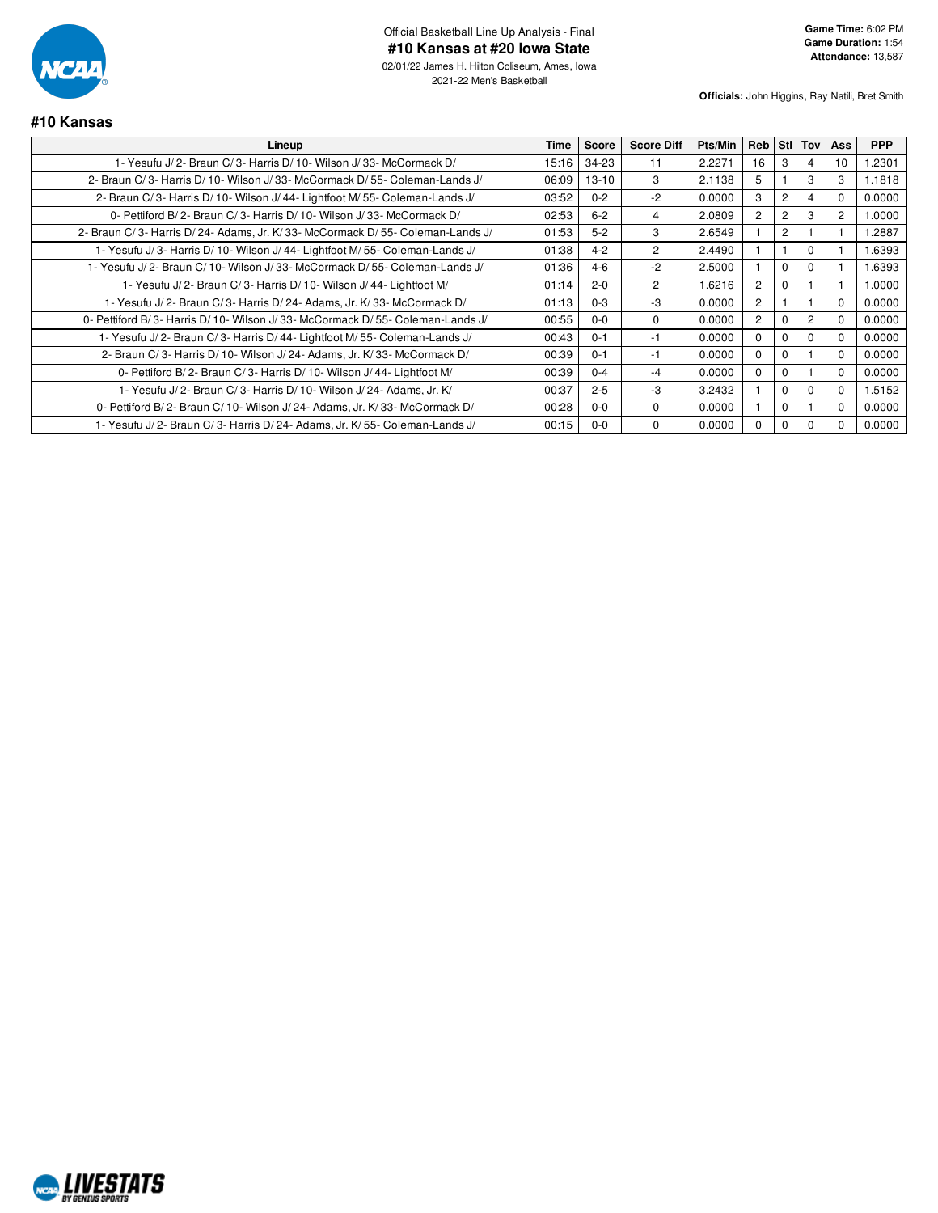![](_page_20_Picture_0.jpeg)

**#10 Kansas**

2021-22 Men's Basketball

**Officials:** John Higgins, Ray Natili, Bret Smith

#### **Lineup Time Score Score Diff Pts/Min Reb Stl Tov Ass PPP** 1- Yesufu J/ 2- Braun C/ 3- Harris D/ 10- Wilson J/ 33- McCormack D/ 15:16 34-23 11 2.2271 16 3 4 10 1.2301 2- Braun C/ 3- Harris D/ 10- Wilson J/ 33- McCormack D/ 55- Coleman-Lands J/ 06:09 | 13-10 3 | 2.1138 | 5 | 1 | 3 | 3 | 1.1818 2- Braun C/ 3- Harris D/ 10- Wilson J/ 44- Lightfoot M/ 55- Coleman-Lands J/ 03:52 0-2 0.2 0-2 0.0000 3 2 4 0 0 0- Pettiford B/ 2- Braun C/ 3- Harris D/ 10- Wilson J/ 33- McCormack D/ 02:53 6-2 4 2.0809 2 2 3 2 1.0000 2- Braun C/ 3- Harris D/ 24- Adams, Jr. K/ 33- McCormack D/ 55- Coleman-Lands J/ 01:53 | 5-2 | 3 | 2.6549 | 1 | 2 | 1 | 1 | 1.2887 1- Yesufu J/ 3- Harris D/ 10- Wilson J/ 44- Lightfoot M/ 55- Coleman-Lands J/ 01:38 4-2 2 2.4490 1 1 0 1 1.6393 1- Yesufu J/ 2- Braun C/ 10- Wilson J/ 33- McCormack D/ 55- Coleman-Lands J/ 01:36 4-6 -2 2.5000 1 0 0 1 1.6393 1- Yesufu J/ 2- Braun C/ 3- Harris D/ 10- Wilson J/ 44- Lightfoot M/ 01:14 2-0 2 1.6216 2 0 1 1 1.0000 1- Yesufu J/ 2- Braun C/ 3- Harris D/ 24- Adams, Jr. K/ 33- McCormack D/  $\vert$  01:13 0-3  $\vert$  0-3  $\vert$  3 0.0000  $\vert$  2 1 1 1 0 0.0000 0- Pettiford B/3- Harris D/ 10- Wilson J/ 33- McCormack D/ 55- Coleman-Lands J/ 00:55 0-0 0 0.0000 2 0.0000 2 0 2 0 0.0000 1- Yesufu J/ 2- Braun C/ 3- Harris D/ 44- Lightfoot M/ 55- Coleman-Lands J/ 00:43 0-1 -1 0.0000 0 0 0 0 0 0 0 0 2- Braun C/ 3- Harris D/ 10- Wilson J/ 24- Adams, Jr. K/ 33- McCormack D/ 00:39 0-1 -1 0.0000 0 0 0 1 0 0 1 0 0.0000 0- Pettiford B/ 2- Braun C/ 3- Harris D/ 10- Wilson J/ 44- Lightfoot M/ 00:39 0-4 -4 0.0000 0 0 1 0 0.0000 1- Yesufu J/ 2- Braun C/ 3- Harris D/ 10- Wilson J/ 24- Adams, Jr. K/ 00:37 2-5 -3 3.2432 1 0 0 0 1.5152 0- Pettiford B/ 2- Braun C/ 10- Wilson J/ 24- Adams, Jr. K/ 33- McCormack D/ 00:28 0-0 0000 0 0 0000 0 1 0 1 0 1 0 0.0000 1- Yesufu J/ 2- Braun C/ 3- Harris D/ 24- Adams, Jr. K/ 55- Coleman-Lands J/ 00:15 0-0 0 0.0000 0 0 0 0 0.0000

![](_page_20_Picture_5.jpeg)